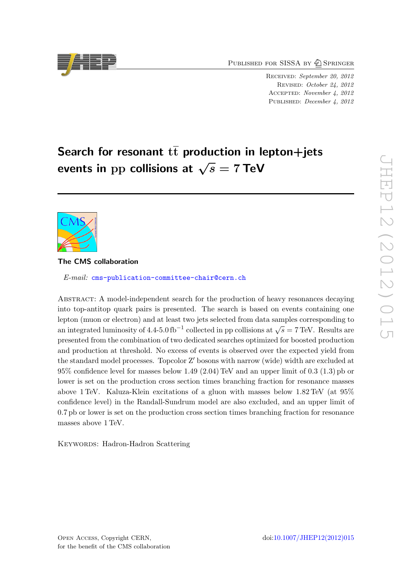PUBLISHED FOR SISSA BY 2 SPRINGER

Received: September 20, 2012 Revised: October 24, 2012 Accepted: November 4, 2012 PUBLISHED: *December 4, 2012* 

# Search for resonant  $t\bar{t}$  production in lepton+jets events in pp collisions at  $\sqrt{s} = 7$  TeV



#### The CMS collaboration

E-mail: [cms-publication-committee-chair@cern.ch](mailto:cms-publication-committee-chair@cern.ch)

Abstract: A model-independent search for the production of heavy resonances decaying into top-antitop quark pairs is presented. The search is based on events containing one lepton (muon or electron) and at least two jets selected from data samples corresponding to an integrated luminosity of  $4.4{\text -}5.0\,\text{fb}^{-1}$  collected in pp collisions at  $\sqrt{s} = 7\,\text{TeV}$ . Results are presented from the combination of two dedicated searches optimized for boosted production and production at threshold. No excess of events is observed over the expected yield from the standard model processes. Topcolor  $Z'$  bosons with narrow (wide) width are excluded at 95% confidence level for masses below 1.49 (2.04) TeV and an upper limit of 0.3 (1.3) pb or lower is set on the production cross section times branching fraction for resonance masses above 1 TeV. Kaluza-Klein excitations of a gluon with masses below 1.82 TeV (at 95% confidence level) in the Randall-Sundrum model are also excluded, and an upper limit of 0.7 pb or lower is set on the production cross section times branching fraction for resonance masses above 1 TeV.

KEYWORDS: Hadron-Hadron Scattering



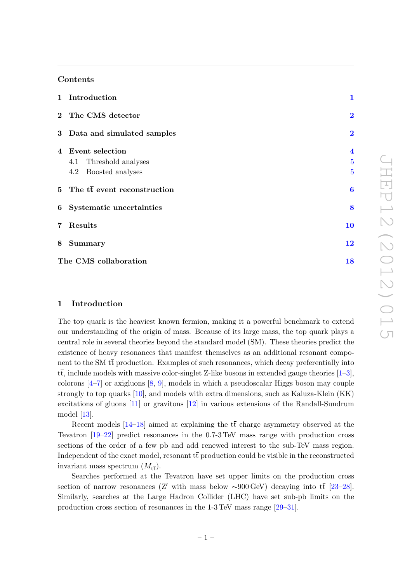# Contents

| 1 Introduction                        |                         |
|---------------------------------------|-------------------------|
| 2 The CMS detector                    | $\overline{2}$          |
| 3 Data and simulated samples          | $\overline{2}$          |
| 4 Event selection                     | $\overline{\mathbf{4}}$ |
| 4.1 Threshold analyses                | $\overline{5}$          |
| 4.2 Boosted analyses                  | $\overline{5}$          |
| 5 The $t\bar{t}$ event reconstruction | $\boldsymbol{6}$        |
| 6 Systematic uncertainties            | 8                       |
| 7 Results                             | 10                      |
| 8 Summary                             | 12                      |
| The CMS collaboration                 | 18                      |

# <span id="page-1-0"></span>1 Introduction

The top quark is the heaviest known fermion, making it a powerful benchmark to extend our understanding of the origin of mass. Because of its large mass, the top quark plays a central role in several theories beyond the standard model (SM). These theories predict the existence of heavy resonances that manifest themselves as an additional resonant component to the SM  $t\bar{t}$  production. Examples of such resonances, which decay preferentially into  $t\bar{t}$ , include models with massive color-singlet Z-like bosons in extended gauge theories [\[1](#page-14-0)[–3\]](#page-14-1), colorons  $[4-7]$  or axigluons  $[8, 9]$  $[8, 9]$ , models in which a pseudoscalar Higgs boson may couple strongly to top quarks [\[10\]](#page-15-4), and models with extra dimensions, such as Kaluza-Klein (KK) excitations of gluons [\[11\]](#page-15-5) or gravitons [\[12\]](#page-15-6) in various extensions of the Randall-Sundrum model [\[13\]](#page-15-7).

Recent models [\[14](#page-15-8)[–18\]](#page-15-9) aimed at explaining the  $t\bar{t}$  charge asymmetry observed at the Tevatron [\[19–](#page-15-10)[22\]](#page-16-0) predict resonances in the 0.7-3 TeV mass range with production cross sections of the order of a few pb and add renewed interest to the sub-TeV mass region. Independent of the exact model, resonant  $t\bar{t}$  production could be visible in the reconstructed invariant mass spectrum  $(M_{\text{t\bar{t}}})$ .

Searches performed at the Tevatron have set upper limits on the production cross section of narrow resonances (Z' with mass below ∼900 GeV) decaying into  $t\bar{t}$  [\[23–](#page-16-1)[28\]](#page-16-2). Similarly, searches at the Large Hadron Collider (LHC) have set sub-pb limits on the production cross section of resonances in the 1-3 TeV mass range [\[29–](#page-16-3)[31\]](#page-16-4).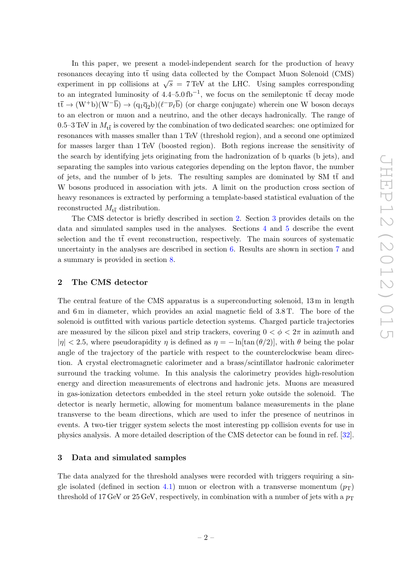In this paper, we present a model-independent search for the production of heavy resonances decaying into  $t\bar{t}$  using data collected by the Compact Muon Solenoid (CMS) experiment in pp collisions at  $\sqrt{s}$  = 7 TeV at the LHC. Using samples corresponding to an integrated luminosity of  $4.4$ –5.0 fb<sup>-1</sup>, we focus on the semileptonic tt decay mode  $t\bar{t} \to (W^+b)(W^-\bar{b}) \to (q_1\bar{q}_2b)(\ell^- \bar{\nu}_\ell \bar{b})$  (or charge conjugate) wherein one W boson decays to an electron or muon and a neutrino, and the other decays hadronically. The range of 0.5–3 TeV in  $M_{t\bar{t}}$  is covered by the combination of two dedicated searches: one optimized for resonances with masses smaller than 1 TeV (threshold region), and a second one optimized for masses larger than 1 TeV (boosted region). Both regions increase the sensitivity of the search by identifying jets originating from the hadronization of b quarks (b jets), and separating the samples into various categories depending on the lepton flavor, the number of jets, and the number of b jets. The resulting samples are dominated by SM  $t\bar{t}$  and W bosons produced in association with jets. A limit on the production cross section of heavy resonances is extracted by performing a template-based statistical evaluation of the reconstructed  $M_{t\bar{t}}$  distribution.

The CMS detector is briefly described in section [2.](#page-2-0) Section [3](#page-2-1) provides details on the data and simulated samples used in the analyses. Sections [4](#page-4-0) and [5](#page-6-0) describe the event selection and the  $t\bar{t}$  event reconstruction, respectively. The main sources of systematic uncertainty in the analyses are described in section [6.](#page-8-0) Results are shown in section [7](#page-10-0) and a summary is provided in section [8.](#page-12-0)

# <span id="page-2-0"></span>2 The CMS detector

The central feature of the CMS apparatus is a superconducting solenoid, 13 m in length and 6 m in diameter, which provides an axial magnetic field of 3.8 T. The bore of the solenoid is outfitted with various particle detection systems. Charged particle trajectories are measured by the silicon pixel and strip trackers, covering  $0 < \phi < 2\pi$  in azimuth and  $|\eta| < 2.5$ , where pseudorapidity  $\eta$  is defined as  $\eta = -\ln[\tan(\theta/2)]$ , with  $\theta$  being the polar angle of the trajectory of the particle with respect to the counterclockwise beam direction. A crystal electromagnetic calorimeter and a brass/scintillator hadronic calorimeter surround the tracking volume. In this analysis the calorimetry provides high-resolution energy and direction measurements of electrons and hadronic jets. Muons are measured in gas-ionization detectors embedded in the steel return yoke outside the solenoid. The detector is nearly hermetic, allowing for momentum balance measurements in the plane transverse to the beam directions, which are used to infer the presence of neutrinos in events. A two-tier trigger system selects the most interesting pp collision events for use in physics analysis. A more detailed description of the CMS detector can be found in ref. [\[32\]](#page-16-5).

#### <span id="page-2-1"></span>3 Data and simulated samples

The data analyzed for the threshold analyses were recorded with triggers requiring a sin-gle isolated (defined in section [4.1\)](#page-5-0) muon or electron with a transverse momentum  $(p_T)$ threshold of 17 GeV or 25 GeV, respectively, in combination with a number of jets with a  $p_T$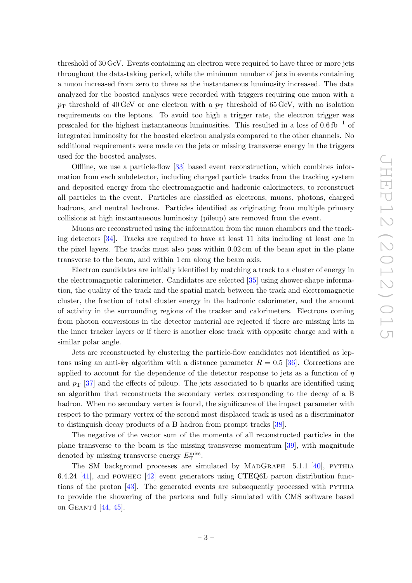threshold of 30 GeV. Events containing an electron were required to have three or more jets throughout the data-taking period, while the minimum number of jets in events containing a muon increased from zero to three as the instantaneous luminosity increased. The data analyzed for the boosted analyses were recorded with triggers requiring one muon with a  $p_{\rm T}$  threshold of 40 GeV or one electron with a  $p_{\rm T}$  threshold of 65 GeV, with no isolation requirements on the leptons. To avoid too high a trigger rate, the electron trigger was prescaled for the highest instantaneous luminosities. This resulted in a loss of  $0.6 \text{ fb}^{-1}$  of integrated luminosity for the boosted electron analysis compared to the other channels. No additional requirements were made on the jets or missing transverse energy in the triggers used for the boosted analyses.

Offline, we use a particle-flow [\[33\]](#page-16-6) based event reconstruction, which combines information from each subdetector, including charged particle tracks from the tracking system and deposited energy from the electromagnetic and hadronic calorimeters, to reconstruct all particles in the event. Particles are classified as electrons, muons, photons, charged hadrons, and neutral hadrons. Particles identified as originating from multiple primary collisions at high instantaneous luminosity (pileup) are removed from the event.

Muons are reconstructed using the information from the muon chambers and the tracking detectors [\[34\]](#page-16-7). Tracks are required to have at least 11 hits including at least one in the pixel layers. The tracks must also pass within 0.02 cm of the beam spot in the plane transverse to the beam, and within 1 cm along the beam axis.

Electron candidates are initially identified by matching a track to a cluster of energy in the electromagnetic calorimeter. Candidates are selected [\[35\]](#page-16-8) using shower-shape information, the quality of the track and the spatial match between the track and electromagnetic cluster, the fraction of total cluster energy in the hadronic calorimeter, and the amount of activity in the surrounding regions of the tracker and calorimeters. Electrons coming from photon conversions in the detector material are rejected if there are missing hits in the inner tracker layers or if there is another close track with opposite charge and with a similar polar angle.

Jets are reconstructed by clustering the particle-flow candidates not identified as leptons using an anti- $k_T$  algorithm with a distance parameter  $R = 0.5$  [\[36\]](#page-16-9). Corrections are applied to account for the dependence of the detector response to jets as a function of  $\eta$ and  $p_{\text{T}}$  [\[37\]](#page-16-10) and the effects of pileup. The jets associated to b quarks are identified using an algorithm that reconstructs the secondary vertex corresponding to the decay of a B hadron. When no secondary vertex is found, the significance of the impact parameter with respect to the primary vertex of the second most displaced track is used as a discriminator to distinguish decay products of a B hadron from prompt tracks [\[38\]](#page-16-11).

The negative of the vector sum of the momenta of all reconstructed particles in the plane transverse to the beam is the missing transverse momentum [\[39\]](#page-16-12), with magnitude denoted by missing transverse energy  $E_{\rm T}^{\rm miss}$ .

The SM background processes are simulated by MADGRAPH  $5.1.1$  [\[40\]](#page-16-13), PYTHIA 6.4.24  $[41]$ , and POWHEG  $[42]$  event generators using CTEQ6L parton distribution functions of the proton [\[43\]](#page-17-2). The generated events are subsequently processed with pythia to provide the showering of the partons and fully simulated with CMS software based on Geant4 [\[44,](#page-17-3) [45\]](#page-17-4).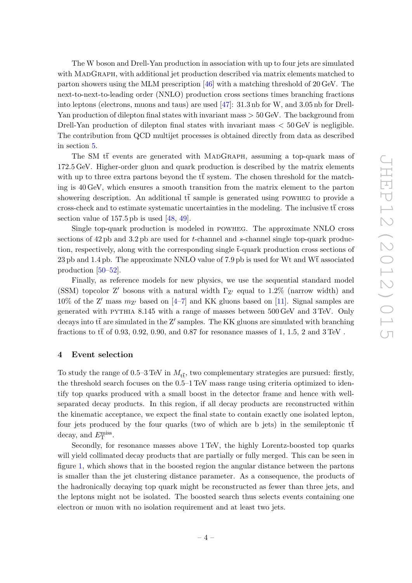The W boson and Drell-Yan production in association with up to four jets are simulated with MADGRAPH, with additional jet production described via matrix elements matched to parton showers using the MLM prescription [\[46\]](#page-17-5) with a matching threshold of 20 GeV. The next-to-next-to-leading order (NNLO) production cross sections times branching fractions into leptons (electrons, muons and taus) are used [\[47\]](#page-17-6): 31.3 nb for W, and 3.05 nb for Drell-Yan production of dilepton final states with invariant mass > 50 GeV. The background from Drell-Yan production of dilepton final states with invariant mass  $< 50$  GeV is negligible. The contribution from QCD multijet processes is obtained directly from data as described in section [5.](#page-6-0)

The SM  $t\bar{t}$  events are generated with MADGRAPH, assuming a top-quark mass of 172.5 GeV. Higher-order gluon and quark production is described by the matrix elements with up to three extra partons beyond the  $t\bar{t}$  system. The chosen threshold for the matching is 40 GeV, which ensures a smooth transition from the matrix element to the parton showering description. An additional  $t\bar{t}$  sample is generated using POWHEG to provide a cross-check and to estimate systematic uncertainties in the modeling. The inclusive  $t\bar{t}$  cross section value of  $157.5$  pb is used  $[48, 49]$  $[48, 49]$ .

Single top-quark production is modeled in powheg. The approximate NNLO cross sections of 42 pb and 3.2 pb are used for t-channel and s-channel single top-quark production, respectively, along with the corresponding single  $\bar{t}$ -quark production cross sections of 23 pb and 1.4 pb. The approximate NNLO value of 7.9 pb is used for Wt and  $W\bar{t}$  associated production [\[50–](#page-17-9)[52\]](#page-17-10).

Finally, as reference models for new physics, we use the sequential standard model (SSM) topcolor Z' bosons with a natural width  $\Gamma_{Z}$  equal to 1.2% (narrow width) and 10% of the Z' mass  $m_{Z}$  based on [\[4](#page-15-0)[–7\]](#page-15-1) and KK gluons based on [\[11\]](#page-15-5). Signal samples are generated with pythia 8.145 with a range of masses between 500 GeV and 3 TeV. Only decays into  $t\bar{t}$  are simulated in the Z' samples. The KK gluons are simulated with branching fractions to  $t\bar{t}$  of 0.93, 0.92, 0.90, and 0.87 for resonance masses of 1, 1.5, 2 and 3 TeV.

### <span id="page-4-0"></span>4 Event selection

To study the range of 0.5–3 TeV in  $M_{\text{t}\bar{\text{t}}}$ , two complementary strategies are pursued: firstly, the threshold search focuses on the 0.5–1 TeV mass range using criteria optimized to identify top quarks produced with a small boost in the detector frame and hence with wellseparated decay products. In this region, if all decay products are reconstructed within the kinematic acceptance, we expect the final state to contain exactly one isolated lepton, four jets produced by the four quarks (two of which are b jets) in the semileptonic  $t\bar{t}$ decay, and  $E_{\rm T}^{\rm miss}$ .

Secondly, for resonance masses above 1 TeV, the highly Lorentz-boosted top quarks will yield collimated decay products that are partially or fully merged. This can be seen in figure [1,](#page-5-2) which shows that in the boosted region the angular distance between the partons is smaller than the jet clustering distance parameter. As a consequence, the products of the hadronically decaying top quark might be reconstructed as fewer than three jets, and the leptons might not be isolated. The boosted search thus selects events containing one electron or muon with no isolation requirement and at least two jets.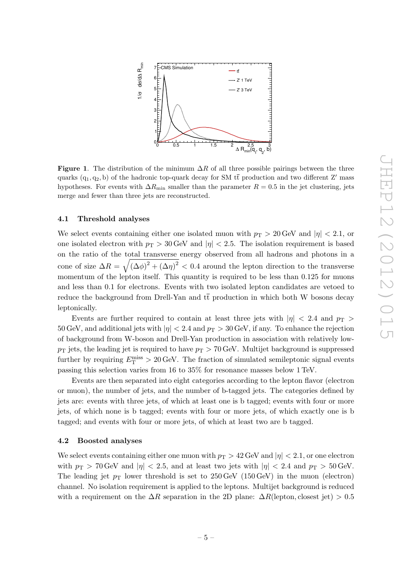

<span id="page-5-2"></span>**Figure 1.** The distribution of the minimum  $\Delta R$  of all three possible pairings between the three quarks (q<sub>1</sub>, q<sub>2</sub>, b) of the hadronic top-quark decay for SM  $t\bar{t}$  production and two different Z' mass hypotheses. For events with  $\Delta R_{\text{min}}$  smaller than the parameter  $R = 0.5$  in the jet clustering, jets merge and fewer than three jets are reconstructed.

#### <span id="page-5-0"></span>4.1 Threshold analyses

We select events containing either one isolated muon with  $p_T > 20$  GeV and  $|\eta| < 2.1$ , or one isolated electron with  $p_T > 30$  GeV and  $|\eta| < 2.5$ . The isolation requirement is based on the ratio of the total transverse energy observed from all hadrons and photons in a cone of size  $\Delta R = \sqrt{(\Delta \phi)^2 + (\Delta \eta)^2} < 0.4$  around the lepton direction to the transverse momentum of the lepton itself. This quantity is required to be less than 0.125 for muons and less than 0.1 for electrons. Events with two isolated lepton candidates are vetoed to reduce the background from Drell-Yan and  $t\bar{t}$  production in which both W bosons decay leptonically.

Events are further required to contain at least three jets with  $|\eta| < 2.4$  and  $p_T >$ 50 GeV, and additional jets with  $|\eta| < 2.4$  and  $p_T > 30$  GeV, if any. To enhance the rejection of background from W-boson and Drell-Yan production in association with relatively low $p_{\rm T}$  jets, the leading jet is required to have  $p_{\rm T} > 70$  GeV. Multijet background is suppressed further by requiring  $E_{\rm T}^{\rm miss} > 20\,\text{GeV}$ . The fraction of simulated semileptonic signal events passing this selection varies from 16 to 35% for resonance masses below 1 TeV.

Events are then separated into eight categories according to the lepton flavor (electron or muon), the number of jets, and the number of b-tagged jets. The categories defined by jets are: events with three jets, of which at least one is b tagged; events with four or more jets, of which none is b tagged; events with four or more jets, of which exactly one is b tagged; and events with four or more jets, of which at least two are b tagged.

#### <span id="page-5-1"></span>4.2 Boosted analyses

We select events containing either one muon with  $p_T > 42$  GeV and  $|\eta| < 2.1$ , or one electron with  $p_T > 70$  GeV and  $|\eta| < 2.5$ , and at least two jets with  $|\eta| < 2.4$  and  $p_T > 50$  GeV. The leading jet  $p_T$  lower threshold is set to 250 GeV (150 GeV) in the muon (electron) channel. No isolation requirement is applied to the leptons. Multijet background is reduced with a requirement on the  $\Delta R$  separation in the 2D plane:  $\Delta R$ (lepton, closest jet) > 0.5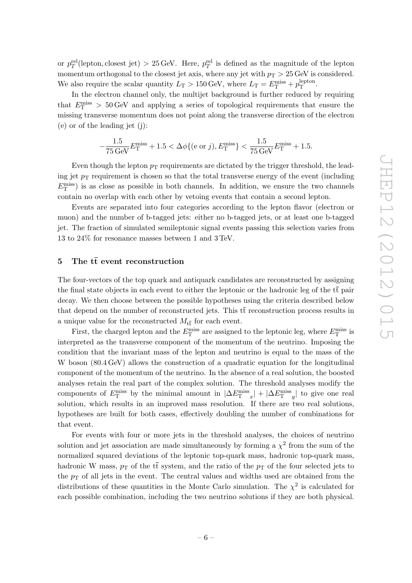or  $p_T^{\text{rel}}$ (lepton, closest jet) > 25 GeV. Here,  $p_T^{\text{rel}}$  is defined as the magnitude of the lepton momentum orthogonal to the closest jet axis, where any jet with  $p_T > 25$  GeV is considered. We also require the scalar quantity  $L_{\rm T} > 150 \,\text{GeV}$ , where  $L_{\rm T} = E_{\rm T}^{\rm miss} + p_{\rm T}^{\rm lepton}$ <sup>iepton</sup> .<br>T

In the electron channel only, the multijet background is further reduced by requiring that  $E_{\rm T}^{\rm miss} > 50$  GeV and applying a series of topological requirements that ensure the missing transverse momentum does not point along the transverse direction of the electron (e) or of the leading jet (j):

$$
-\frac{1.5}{75 \,\text{GeV}} E_{\text{T}}^{\text{miss}} + 1.5 < \Delta \phi \{ (\text{e or } j), E_{\text{T}}^{\text{miss}} \} < \frac{1.5}{75 \,\text{GeV}} E_{\text{T}}^{\text{miss}} + 1.5.
$$

Even though the lepton  $p_T$  requirements are dictated by the trigger threshold, the leading jet  $p_T$  requirement is chosen so that the total transverse energy of the event (including  $E_{\rm T}^{\rm miss}$ ) is as close as possible in both channels. In addition, we ensure the two channels contain no overlap with each other by vetoing events that contain a second lepton.

Events are separated into four categories according to the lepton flavor (electron or muon) and the number of b-tagged jets: either no b-tagged jets, or at least one b-tagged jet. The fraction of simulated semileptonic signal events passing this selection varies from 13 to 24% for resonance masses between 1 and 3 TeV.

# <span id="page-6-0"></span>5 The  $t\bar{t}$  event reconstruction

The four-vectors of the top quark and antiquark candidates are reconstructed by assigning the final state objects in each event to either the leptonic or the hadronic leg of the  $t\bar{t}$  pair decay. We then choose between the possible hypotheses using the criteria described below that depend on the number of reconstructed jets. This  $t\bar{t}$  reconstruction process results in a unique value for the reconstructed  $M_{\text{t}\bar{\text{t}}}$  for each event.

First, the charged lepton and the  $E_{\rm T}^{\rm miss}$  are assigned to the leptonic leg, where  $E_{\rm T}^{\rm miss}$  is interpreted as the transverse component of the momentum of the neutrino. Imposing the condition that the invariant mass of the lepton and neutrino is equal to the mass of the W boson (80.4 GeV) allows the construction of a quadratic equation for the longitudinal component of the momentum of the neutrino. In the absence of a real solution, the boosted analyses retain the real part of the complex solution. The threshold analyses modify the components of  $E_{\rm T}^{\rm miss}$  by the minimal amount in  $|\Delta E_{\rm T}^{\rm miss}| + |\Delta E_{\rm T}^{\rm miss}|$  to give one real solution, which results in an improved mass resolution. If there are two real solutions, hypotheses are built for both cases, effectively doubling the number of combinations for that event.

For events with four or more jets in the threshold analyses, the choices of neutrino solution and jet association are made simultaneously by forming a  $\chi^2$  from the sum of the normalized squared deviations of the leptonic top-quark mass, hadronic top-quark mass, hadronic W mass,  $p_T$  of the  $t\bar{t}$  system, and the ratio of the  $p_T$  of the four selected jets to the  $p_T$  of all jets in the event. The central values and widths used are obtained from the distributions of these quantities in the Monte Carlo simulation. The  $\chi^2$  is calculated for each possible combination, including the two neutrino solutions if they are both physical.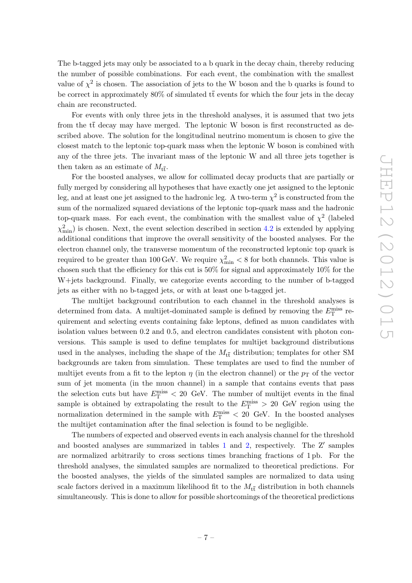The b-tagged jets may only be associated to a b quark in the decay chain, thereby reducing the number of possible combinations. For each event, the combination with the smallest value of  $\chi^2$  is chosen. The association of jets to the W boson and the b quarks is found to be correct in approximately  $80\%$  of simulated  $t\bar{t}$  events for which the four jets in the decay chain are reconstructed.

For events with only three jets in the threshold analyses, it is assumed that two jets from the  $t\bar{t}$  decay may have merged. The leptonic W boson is first reconstructed as described above. The solution for the longitudinal neutrino momentum is chosen to give the closest match to the leptonic top-quark mass when the leptonic W boson is combined with any of the three jets. The invariant mass of the leptonic W and all three jets together is then taken as an estimate of  $M_{\text{t}\bar{\text{t}}}$ .

For the boosted analyses, we allow for collimated decay products that are partially or fully merged by considering all hypotheses that have exactly one jet assigned to the leptonic leg, and at least one jet assigned to the hadronic leg. A two-term  $\chi^2$  is constructed from the sum of the normalized squared deviations of the leptonic top-quark mass and the hadronic top-quark mass. For each event, the combination with the smallest value of  $\chi^2$  (labeled  $(\chi^2_{\rm min})$  is chosen. Next, the event selection described in section [4.2](#page-5-1) is extended by applying additional conditions that improve the overall sensitivity of the boosted analyses. For the electron channel only, the transverse momentum of the reconstructed leptonic top quark is required to be greater than 100 GeV. We require  $\chi^2_{\rm min}$  < 8 for both channels. This value is chosen such that the efficiency for this cut is 50% for signal and approximately 10% for the W+jets background. Finally, we categorize events according to the number of b-tagged jets as either with no b-tagged jets, or with at least one b-tagged jet.

The multijet background contribution to each channel in the threshold analyses is determined from data. A multijet-dominated sample is defined by removing the  $E_{\rm T}^{\rm miss}$  requirement and selecting events containing fake leptons, defined as muon candidates with isolation values between 0.2 and 0.5, and electron candidates consistent with photon conversions. This sample is used to define templates for multijet background distributions used in the analyses, including the shape of the  $M_{\text{tf}}$  distribution; templates for other SM backgrounds are taken from simulation. These templates are used to find the number of multijet events from a fit to the lepton  $\eta$  (in the electron channel) or the  $p_T$  of the vector sum of jet momenta (in the muon channel) in a sample that contains events that pass the selection cuts but have  $E_{\rm T}^{\rm miss} < 20\,$  GeV. The number of multijet events in the final sample is obtained by extrapolating the result to the  $E_{\rm T}^{\rm miss} > 20\,{\rm GeV}$  region using the normalization determined in the sample with  $E_{\rm T}^{\rm miss}$   $< 20\,$  GeV. In the boosted analyses the multijet contamination after the final selection is found to be negligible.

The numbers of expected and observed events in each analysis channel for the threshold and boosted analyses are summarized in tables  $1$  and  $2$ , respectively. The  $Z'$  samples are normalized arbitrarily to cross sections times branching fractions of 1 pb. For the threshold analyses, the simulated samples are normalized to theoretical predictions. For the boosted analyses, the yields of the simulated samples are normalized to data using scale factors derived in a maximum likelihood fit to the  $M_{\rm tf}$  distribution in both channels simultaneously. This is done to allow for possible shortcomings of the theoretical predictions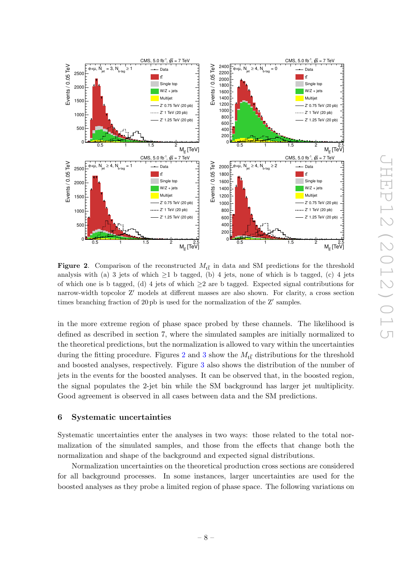

<span id="page-8-1"></span>**Figure 2.** Comparison of the reconstructed  $M_{t\bar{t}}$  in data and SM predictions for the threshold analysis with (a) 3 jets of which  $\geq 1$  b tagged, (b) 4 jets, none of which is b tagged, (c) 4 jets of which one is b tagged, (d) 4 jets of which  $\geq 2$  are b tagged. Expected signal contributions for narrow-width topcolor Z' models at different masses are also shown. For clarity, a cross section times branching fraction of  $20 \text{ pb}$  is used for the normalization of the  $Z'$  samples.

in the more extreme region of phase space probed by these channels. The likelihood is defined as described in section 7, where the simulated samples are initially normalized to the theoretical predictions, but the normalization is allowed to vary within the uncertainties during the fitting procedure. Figures [2](#page-8-1) and [3](#page-11-0) show the  $M_{\text{tf}}$  distributions for the threshold and boosted analyses, respectively. Figure [3](#page-11-0) also shows the distribution of the number of jets in the events for the boosted analyses. It can be observed that, in the boosted region, the signal populates the 2-jet bin while the SM background has larger jet multiplicity. Good agreement is observed in all cases between data and the SM predictions.

# <span id="page-8-0"></span>6 Systematic uncertainties

Systematic uncertainties enter the analyses in two ways: those related to the total normalization of the simulated samples, and those from the effects that change both the normalization and shape of the background and expected signal distributions.

Normalization uncertainties on the theoretical production cross sections are considered for all background processes. In some instances, larger uncertainties are used for the boosted analyses as they probe a limited region of phase space. The following variations on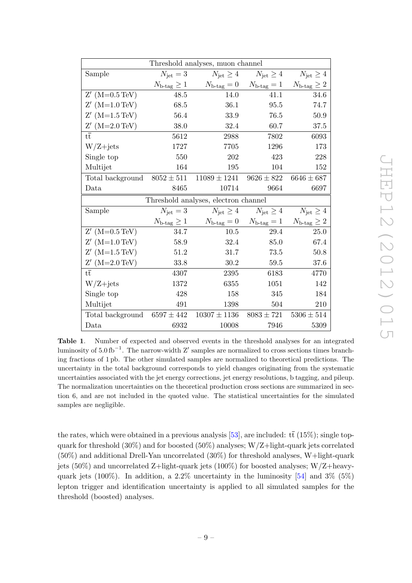| Threshold analyses, muon channel                                |                 |                                                                                                 |                                           |                               |  |  |  |
|-----------------------------------------------------------------|-----------------|-------------------------------------------------------------------------------------------------|-------------------------------------------|-------------------------------|--|--|--|
| Sample                                                          | $N_{\rm jet}=3$ |                                                                                                 | $N_{\rm jet} \geq 4$ $N_{\rm jet} \geq 4$ | $N_{\rm jet} \geq 4$          |  |  |  |
|                                                                 |                 | $N_{\text{b-tag}} \ge 1$ $N_{\text{b-tag}} = 0$ $N_{\text{b-tag}} = 1$ $N_{\text{b-tag}} \ge 2$ |                                           |                               |  |  |  |
| $Z'$ (M=0.5 TeV)                                                | 48.5            | 14.0                                                                                            | 41.1                                      | 34.6                          |  |  |  |
| $Z'$ (M=1.0 TeV)                                                | 68.5            | 36.1                                                                                            | 95.5                                      | 74.7                          |  |  |  |
| $Z'$ (M=1.5 TeV)                                                | 56.4            | 33.9                                                                                            | 76.5                                      | 50.9                          |  |  |  |
| $Z'$ (M=2.0 TeV)                                                | 38.0            | 32.4                                                                                            | 60.7                                      | 37.5                          |  |  |  |
| $t\overline{t}$                                                 | 5612            | 2988                                                                                            | 7802                                      | 6093                          |  |  |  |
| $W/Z + jets$                                                    | 1727            | 7705                                                                                            | 1296                                      | 173                           |  |  |  |
| Single top                                                      | 550             | 202                                                                                             | 423                                       | 228                           |  |  |  |
| Multijet                                                        | 164             | 195                                                                                             | 104                                       | 152                           |  |  |  |
| Total background $8052 \pm 511$ $11089 \pm 1241$ $9626 \pm 822$ |                 |                                                                                                 |                                           | $6646 \pm 687$                |  |  |  |
| Data                                                            | 8465            | 10714                                                                                           | 9664                                      | 6697                          |  |  |  |
| Threshold analyses, electron channel                            |                 |                                                                                                 |                                           |                               |  |  |  |
| Sample                                                          |                 | $N_{\rm jet} = 3$ $N_{\rm jet} \ge 4$ $N_{\rm jet} \ge 4$                                       |                                           | $N_{\rm jet} \geq 4$          |  |  |  |
|                                                                 |                 | $N_{\text{b-tag}} \ge 1$ $N_{\text{b-tag}} = 0$ $N_{\text{b-tag}} = 1$ $N_{\text{b-tag}} \ge 2$ |                                           |                               |  |  |  |
| $Z'$ (M=0.5 TeV)                                                | 34.7            | 10.5                                                                                            | 29.4                                      | 25.0                          |  |  |  |
| $Z'$ (M=1.0 TeV)                                                | 58.9            | 32.4                                                                                            | 85.0                                      | 67.4                          |  |  |  |
| $Z'$ (M=1.5 TeV)                                                | 51.2            | 31.7                                                                                            | 73.5                                      | 50.8                          |  |  |  |
| $Z'$ (M=2.0 TeV)                                                | 33.8            | 30.2                                                                                            | 59.5                                      | 37.6                          |  |  |  |
| $t\overline{t}$                                                 | 4307            | 2395                                                                                            | 6183                                      | 4770                          |  |  |  |
| $W/Z + jets$                                                    | 1372            | 6355                                                                                            | 1051                                      | 142                           |  |  |  |
| Single top                                                      | 428             | 158                                                                                             | 345                                       | 184                           |  |  |  |
| Multijet                                                        | 491             | 1398                                                                                            | 504                                       | 210                           |  |  |  |
| Total background $6597 \pm 442$                                 |                 | $10307 \pm 1136$                                                                                |                                           | $8083 \pm 721$ $5306 \pm 514$ |  |  |  |
|                                                                 |                 |                                                                                                 |                                           |                               |  |  |  |

<span id="page-9-0"></span>Table 1. Number of expected and observed events in the threshold analyses for an integrated luminosity of  $5.0\,\text{fb}^{-1}$ . The narrow-width Z' samples are normalized to cross sections times branching fractions of 1 pb. The other simulated samples are normalized to theoretical predictions. The uncertainty in the total background corresponds to yield changes originating from the systematic uncertainties associated with the jet energy corrections, jet energy resolutions, b tagging, and pileup. The normalization uncertainties on the theoretical production cross sections are summarized in section 6, and are not included in the quoted value. The statistical uncertainties for the simulated samples are negligible.

the rates, which were obtained in a previous analysis [\[53\]](#page-17-11), are included:  $\mathrm{t\bar{t}}$  (15%); single topquark for threshold  $(30\%)$  and for boosted  $(50\%)$  analyses; W/Z+light-quark jets correlated (50%) and additional Drell-Yan uncorrelated (30%) for threshold analyses, W+light-quark jets (50%) and uncorrelated Z+light-quark jets (100%) for boosted analyses;  $W/Z +$ heavy-quark jets (100%). In addition, a 2.2% uncertainty in the luminosity [\[54\]](#page-17-12) and 3% (5%) lepton trigger and identification uncertainty is applied to all simulated samples for the threshold (boosted) analyses.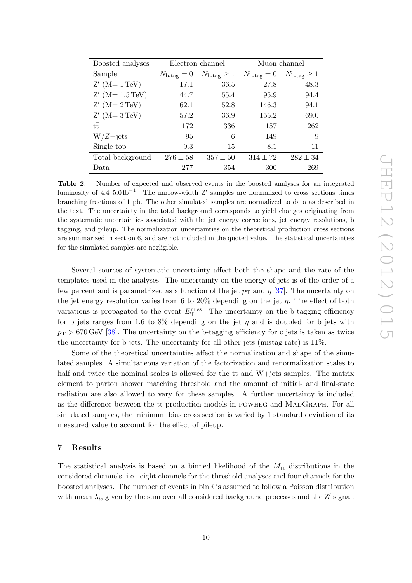| Boosted analyses          | Electron channel       |                           | Muon channel           |                           |
|---------------------------|------------------------|---------------------------|------------------------|---------------------------|
| Sample                    | $N_{\text{b-tag}} = 0$ | $N_{\text{b-tag}} \geq 1$ | $N_{\text{b-tag}} = 0$ | $N_{\text{b-tag}} \geq 1$ |
| $Z'$ (M= 1 TeV)           | 17.1                   | 36.5                      | 27.8                   | 48.3                      |
| $Z'$ (M= 1.5 TeV)         | 44.7                   | 55.4                      | 95.9                   | 94.4                      |
| $Z'$ (M= $2 \text{TeV}$ ) | 62.1                   | 52.8                      | 146.3                  | 94.1                      |
| $Z'$ (M= 3 TeV)           | 57.2                   | 36.9                      | 155.2                  | 69.0                      |
| $t\overline{t}$           | 172                    | 336                       | 157                    | 262                       |
| $W/Z + jets$              | 95                     | 6                         | 149                    | 9                         |
| Single top                | 9.3                    | 15                        | 8.1                    | 11                        |
| Total background          | $276 \pm 58$           | $357 \pm 50$              | $314 \pm 72$           | $282 \pm 34$              |
| Data.                     | 277                    | 354                       | 300                    | 269                       |

<span id="page-10-1"></span>Table 2. Number of expected and observed events in the boosted analyses for an integrated luminosity of  $4.4$ -5.0 fb<sup>-1</sup>. The narrow-width Z' samples are normalized to cross sections times branching fractions of 1 pb. The other simulated samples are normalized to data as described in the text. The uncertainty in the total background corresponds to yield changes originating from the systematic uncertainties associated with the jet energy corrections, jet energy resolutions, b tagging, and pileup. The normalization uncertainties on the theoretical production cross sections are summarized in section 6, and are not included in the quoted value. The statistical uncertainties for the simulated samples are negligible.

Several sources of systematic uncertainty affect both the shape and the rate of the templates used in the analyses. The uncertainty on the energy of jets is of the order of a few percent and is parametrized as a function of the jet  $p_T$  and  $\eta$  [\[37\]](#page-16-10). The uncertainty on the jet energy resolution varies from 6 to 20% depending on the jet  $\eta$ . The effect of both variations is propagated to the event  $E_{\rm T}^{\rm miss}$ . The uncertainty on the b-tagging efficiency for b jets ranges from 1.6 to 8% depending on the jet  $\eta$  and is doubled for b jets with  $p_T > 670 \,\text{GeV}$  [\[38\]](#page-16-11). The uncertainty on the b-tagging efficiency for c jets is taken as twice the uncertainty for b jets. The uncertainty for all other jets (mistag rate) is 11%.

Some of the theoretical uncertainties affect the normalization and shape of the simulated samples. A simultaneous variation of the factorization and renormalization scales to half and twice the nominal scales is allowed for the  $t\bar{t}$  and W+jets samples. The matrix element to parton shower matching threshold and the amount of initial- and final-state radiation are also allowed to vary for these samples. A further uncertainty is included as the difference between the  $t\bar{t}$  production models in POWHEG and MADGRAPH. For all simulated samples, the minimum bias cross section is varied by 1 standard deviation of its measured value to account for the effect of pileup.

# <span id="page-10-0"></span>7 Results

The statistical analysis is based on a binned likelihood of the  $M_{t\bar{t}}$  distributions in the considered channels, i.e., eight channels for the threshold analyses and four channels for the boosted analyses. The number of events in bin  $i$  is assumed to follow a Poisson distribution with mean  $\lambda_i$ , given by the sum over all considered background processes and the Z' signal.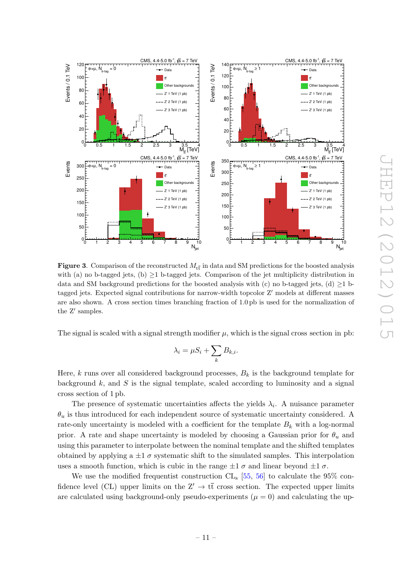

<span id="page-11-0"></span>**Figure 3**. Comparison of the reconstructed  $M_{\text{t} \bar{\text{t}}}$  in data and SM predictions for the boosted analysis with (a) no b-tagged jets, (b)  $\geq$ 1 b-tagged jets. Comparison of the jet multiplicity distribution in data and SM background predictions for the boosted analysis with (c) no b-tagged jets, (d)  $\geq 1$  btagged jets. Expected signal contributions for narrow-width topcolor  $Z'$  models at different masses are also shown. A cross section times branching fraction of 1.0 pb is used for the normalization of the  $Z'$  samples.

The signal is scaled with a signal strength modifier  $\mu$ , which is the signal cross section in pb:

$$
\lambda_i = \mu S_i + \sum_k B_{k,i}.
$$

Here, k runs over all considered background processes,  $B_k$  is the background template for background  $k$ , and  $S$  is the signal template, scaled according to luminosity and a signal cross section of 1 pb.

The presence of systematic uncertainties affects the yields  $\lambda_i$ . A nuisance parameter  $\theta_u$  is thus introduced for each independent source of systematic uncertainty considered. A rate-only uncertainty is modeled with a coefficient for the template  $B_k$  with a log-normal prior. A rate and shape uncertainty is modeled by choosing a Gaussian prior for  $\theta_u$  and using this parameter to interpolate between the nominal template and the shifted templates obtained by applying a  $\pm 1 \sigma$  systematic shift to the simulated samples. This interpolation uses a smooth function, which is cubic in the range  $\pm 1 \sigma$  and linear beyond  $\pm 1 \sigma$ .

We use the modified frequentist construction  $CL_s$  [\[55,](#page-17-13) [56\]](#page-17-14) to calculate the 95% confidence level (CL) upper limits on the  $Z' \rightarrow t\bar{t}$  cross section. The expected upper limits are calculated using background-only pseudo-experiments ( $\mu = 0$ ) and calculating the up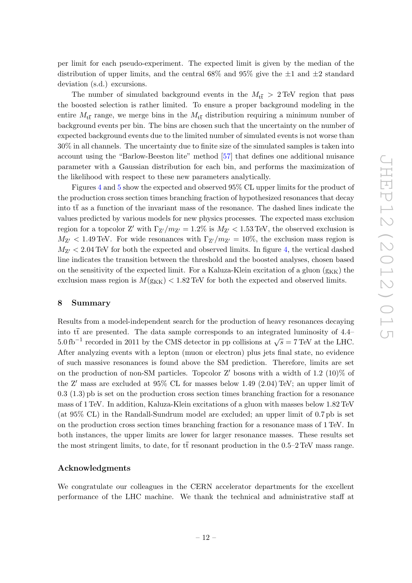per limit for each pseudo-experiment. The expected limit is given by the median of the distribution of upper limits, and the central 68% and 95% give the  $\pm 1$  and  $\pm 2$  standard deviation (s.d.) excursions.

The number of simulated background events in the  $M_{\text{t}} > 2 \text{TeV}$  region that pass the boosted selection is rather limited. To ensure a proper background modeling in the entire  $M_{\rm t\bar t}$  range, we merge bins in the  $M_{\rm t\bar t}$  distribution requiring a minimum number of background events per bin. The bins are chosen such that the uncertainty on the number of expected background events due to the limited number of simulated events is not worse than 30% in all channels. The uncertainty due to finite size of the simulated samples is taken into account using the "Barlow-Beeston lite" method [\[57\]](#page-17-15) that defines one additional nuisance parameter with a Gaussian distribution for each bin, and performs the maximization of the likelihood with respect to these new parameters analytically.

Figures [4](#page-13-0) and [5](#page-14-2) show the expected and observed 95% CL upper limits for the product of the production cross section times branching fraction of hypothesized resonances that decay into  $t\bar{t}$  as a function of the invariant mass of the resonance. The dashed lines indicate the values predicted by various models for new physics processes. The expected mass exclusion region for a topcolor Z' with  $\Gamma_{Z'}/m_{Z'} = 1.2\%$  is  $M_{Z'} < 1.53$  TeV, the observed exclusion is  $M_{Z'}$  < 1.49 TeV. For wide resonances with  $\Gamma_{Z'}/m_{Z'} = 10\%$ , the exclusion mass region is  $M_{Z'} < 2.04$  TeV for both the expected and observed limits. In figure [4,](#page-13-0) the vertical dashed line indicates the transition between the threshold and the boosted analyses, chosen based on the sensitivity of the expected limit. For a Kaluza-Klein excitation of a gluon  $(g_{KK})$  the exclusion mass region is  $M(g_{KK}) < 1.82 \text{ TeV}$  for both the expected and observed limits.

### <span id="page-12-0"></span>8 Summary

Results from a model-independent search for the production of heavy resonances decaying into  $t\bar{t}$  are presented. The data sample corresponds to an integrated luminosity of 4.4– 5.0 fb<sup>-1</sup> recorded in 2011 by the CMS detector in pp collisions at  $\sqrt{s} = 7$  TeV at the LHC. After analyzing events with a lepton (muon or electron) plus jets final state, no evidence of such massive resonances is found above the SM prediction. Therefore, limits are set on the production of non-SM particles. Topcolor Z' bosons with a width of 1.2 (10)% of the Z' mass are excluded at  $95\%$  CL for masses below 1.49 (2.04) TeV; an upper limit of 0.3 (1.3) pb is set on the production cross section times branching fraction for a resonance mass of 1 TeV. In addition, Kaluza-Klein excitations of a gluon with masses below 1.82 TeV (at 95% CL) in the Randall-Sundrum model are excluded; an upper limit of 0.7 pb is set on the production cross section times branching fraction for a resonance mass of 1 TeV. In both instances, the upper limits are lower for larger resonance masses. These results set the most stringent limits, to date, for  $t\bar{t}$  resonant production in the 0.5–2 TeV mass range.

#### Acknowledgments

We congratulate our colleagues in the CERN accelerator departments for the excellent performance of the LHC machine. We thank the technical and administrative staff at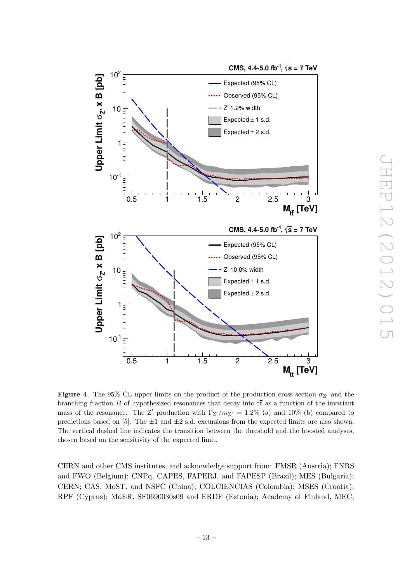

JHEP12(2012)015 FHEP12 (2012) 01  $\overline{(\Gamma)}$ 

<span id="page-13-0"></span>**Figure 4.** The 95% CL upper limits on the product of the production cross section  $\sigma_{Z'}$  and the branching fraction B of hypothesized resonances that decay into  $t\bar{t}$  as a function of the invariant mass of the resonance. The Z' production with  $\Gamma_{Z'}/m_{Z'} = 1.2\%$  (a) and 10% (b) compared to predictions based on [\[5\]](#page-15-11). The  $\pm 1$  and  $\pm 2$  s.d. excursions from the expected limits are also shown. The vertical dashed line indicates the transition between the threshold and the boosted analyses, chosen based on the sensitivity of the expected limit.

CERN and other CMS institutes, and acknowledge support from: FMSR (Austria); FNRS and FWO (Belgium); CNPq, CAPES, FAPERJ, and FAPESP (Brazil); MES (Bulgaria); CERN; CAS, MoST, and NSFC (China); COLCIENCIAS (Colombia); MSES (Croatia); RPF (Cyprus); MoER, SF0690030s09 and ERDF (Estonia); Academy of Finland, MEC,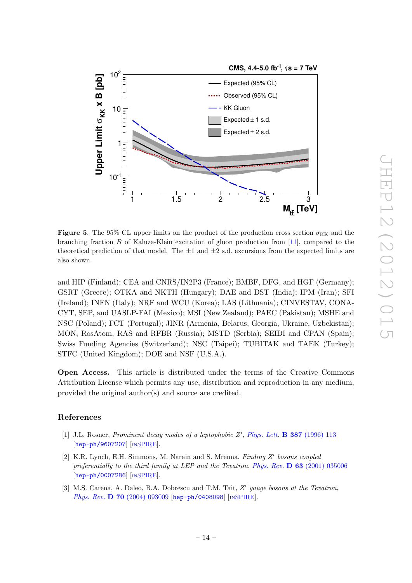

<span id="page-14-2"></span>**Figure 5.** The 95% CL upper limits on the product of the production cross section  $\sigma_{KK}$  and the branching fraction B of Kaluza-Klein excitation of gluon production from  $[11]$ , compared to the theoretical prediction of that model. The  $\pm 1$  and  $\pm 2$  s.d. excursions from the expected limits are also shown.

and HIP (Finland); CEA and CNRS/IN2P3 (France); BMBF, DFG, and HGF (Germany); GSRT (Greece); OTKA and NKTH (Hungary); DAE and DST (India); IPM (Iran); SFI (Ireland); INFN (Italy); NRF and WCU (Korea); LAS (Lithuania); CINVESTAV, CONA-CYT, SEP, and UASLP-FAI (Mexico); MSI (New Zealand); PAEC (Pakistan); MSHE and NSC (Poland); FCT (Portugal); JINR (Armenia, Belarus, Georgia, Ukraine, Uzbekistan); MON, RosAtom, RAS and RFBR (Russia); MSTD (Serbia); SEIDI and CPAN (Spain); Swiss Funding Agencies (Switzerland); NSC (Taipei); TUBITAK and TAEK (Turkey); STFC (United Kingdom); DOE and NSF (U.S.A.).

Open Access. This article is distributed under the terms of the Creative Commons Attribution License which permits any use, distribution and reproduction in any medium, provided the original author(s) and source are credited.

# References

- <span id="page-14-0"></span>[1] J.L. Rosner, Prominent decay modes of a leptophobic  $Z'$ , [Phys. Lett.](http://dx.doi.org/10.1016/0370-2693(96)01022-2) **B 387** (1996) 113 [[hep-ph/9607207](http://arxiv.org/abs/hep-ph/9607207)] [IN[SPIRE](http://inspirehep.net/search?p=find+EPRINT+hep-ph/9607207)].
- [2] K.R. Lynch, E.H. Simmons, M. Narain and S. Mrenna, Finding Z' bosons coupled preferentially to the third family at LEP and the Tevatron, Phys. Rev.  $\bf{D} 63$  [\(2001\) 035006](http://dx.doi.org/10.1103/PhysRevD.63.035006) [[hep-ph/0007286](http://arxiv.org/abs/hep-ph/0007286)] [IN[SPIRE](http://inspirehep.net/search?p=find+EPRINT+hep-ph/0007286)].
- <span id="page-14-1"></span>[3] M.S. Carena, A. Daleo, B.A. Dobrescu and T.M. Tait, Z' gauge bosons at the Tevatron, Phys. Rev. **D 70** [\(2004\) 093009](http://dx.doi.org/10.1103/PhysRevD.70.093009) [[hep-ph/0408098](http://arxiv.org/abs/hep-ph/0408098)] [IN[SPIRE](http://inspirehep.net/search?p=find+EPRINT+hep-ph/0408098)].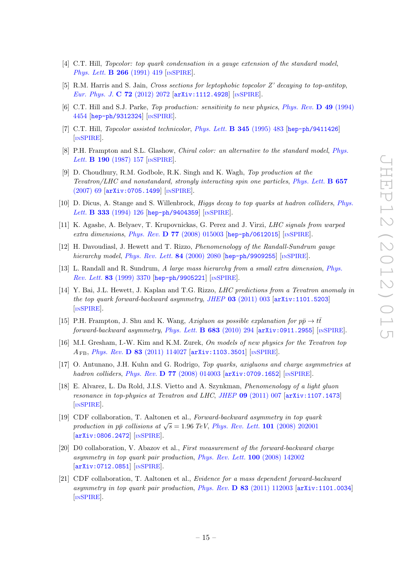- <span id="page-15-0"></span>[4] C.T. Hill, Topcolor: top quark condensation in a gauge extension of the standard model, [Phys. Lett.](http://dx.doi.org/10.1016/0370-2693(91)91061-Y) **B 266** (1991) 419 [IN[SPIRE](http://inspirehep.net/search?p=find+J+Phys.Lett.,B266,419)].
- <span id="page-15-11"></span>[5] R.M. Harris and S. Jain, Cross sections for leptophobic topcolor Z' decaying to top-antitop, [Eur. Phys. J.](http://dx.doi.org/10.1140/epjc/s10052-012-2072-4) C 72 (2012) 2072 [[arXiv:1112.4928](http://arxiv.org/abs/1112.4928)] [IN[SPIRE](http://inspirehep.net/search?p=find+EPRINT+arXiv:1112.4928)].
- [6] C.T. Hill and S.J. Parke, *Top production: sensitivity to new physics*, *[Phys. Rev.](http://dx.doi.org/10.1103/PhysRevD.49.4454)* **D** 49 (1994) [4454](http://dx.doi.org/10.1103/PhysRevD.49.4454) [[hep-ph/9312324](http://arxiv.org/abs/hep-ph/9312324)] [IN[SPIRE](http://inspirehep.net/search?p=find+EPRINT+hep-ph/9312324)].
- <span id="page-15-1"></span>[7] C.T. Hill, Topcolor assisted technicolor, [Phys. Lett.](http://dx.doi.org/10.1016/0370-2693(94)01660-5) B 345 (1995) 483 [[hep-ph/9411426](http://arxiv.org/abs/hep-ph/9411426)] [IN[SPIRE](http://inspirehep.net/search?p=find+EPRINT+hep-ph/9411426)].
- <span id="page-15-2"></span>[8] P.H. Frampton and S.L. Glashow, Chiral color: an alternative to the standard model, [Phys.](http://dx.doi.org/10.1016/0370-2693(87)90859-8) Lett. **B 190** [\(1987\) 157](http://dx.doi.org/10.1016/0370-2693(87)90859-8) [IN[SPIRE](http://inspirehep.net/search?p=find+J+Phys.Lett.,B190,157)].
- <span id="page-15-3"></span>[9] D. Choudhury, R.M. Godbole, R.K. Singh and K. Wagh, Top production at the Tevatron/LHC and nonstandard, strongly interacting spin one particles, [Phys. Lett.](http://dx.doi.org/10.1016/j.physletb.2007.09.057) B 657 [\(2007\) 69](http://dx.doi.org/10.1016/j.physletb.2007.09.057) [[arXiv:0705.1499](http://arxiv.org/abs/0705.1499)] [IN[SPIRE](http://inspirehep.net/search?p=find+EPRINT+arXiv:0705.1499)].
- <span id="page-15-4"></span>[10] D. Dicus, A. Stange and S. Willenbrock, Higgs decay to top quarks at hadron colliders, [Phys.](http://dx.doi.org/10.1016/0370-2693(94)91017-0) Lett. **B 333** [\(1994\) 126](http://dx.doi.org/10.1016/0370-2693(94)91017-0) [[hep-ph/9404359](http://arxiv.org/abs/hep-ph/9404359)] [IN[SPIRE](http://inspirehep.net/search?p=find+EPRINT+hep-ph/9404359)].
- <span id="page-15-5"></span>[11] K. Agashe, A. Belyaev, T. Krupovnickas, G. Perez and J. Virzi, LHC signals from warped extra dimensions, Phys. Rev. D  $77$  [\(2008\) 015003](http://dx.doi.org/10.1103/PhysRevD.77.015003) [[hep-ph/0612015](http://arxiv.org/abs/hep-ph/0612015)] [IN[SPIRE](http://inspirehep.net/search?p=find+EPRINT+hep-ph/0612015)].
- <span id="page-15-6"></span>[12] H. Davoudiasl, J. Hewett and T. Rizzo, Phenomenology of the Randall-Sundrum gauge hierarchy model, [Phys. Rev. Lett.](http://dx.doi.org/10.1103/PhysRevLett.84.2080)  $84$  (2000) 2080 [[hep-ph/9909255](http://arxiv.org/abs/hep-ph/9909255)] [IN[SPIRE](http://inspirehep.net/search?p=find+J+Phys.Rev.Lett.,84,2080)].
- <span id="page-15-7"></span>[13] L. Randall and R. Sundrum, A large mass hierarchy from a small extra dimension, [Phys.](http://dx.doi.org/10.1103/PhysRevLett.83.3370) Rev. Lett. 83 [\(1999\) 3370](http://dx.doi.org/10.1103/PhysRevLett.83.3370) [[hep-ph/9905221](http://arxiv.org/abs/hep-ph/9905221)] [IN[SPIRE](http://inspirehep.net/search?p=find+J+Phys.Rev.Lett.,83,3370)].
- <span id="page-15-8"></span>[14] Y. Bai, J.L. Hewett, J. Kaplan and T.G. Rizzo, *LHC predictions from a Tevatron anomaly in* the top quark forward-backward asymmetry, JHEP 03 [\(2011\) 003](http://dx.doi.org/10.1007/JHEP03(2011)003) [[arXiv:1101.5203](http://arxiv.org/abs/1101.5203)] [IN[SPIRE](http://inspirehep.net/search?p=find+EPRINT+arXiv:1101.5203)].
- [15] P.H. Frampton, J. Shu and K. Wang, Axigluon as possible explanation for  $p\bar{p} \to t\bar{t}$ forward-backward asymmetry, [Phys. Lett.](http://dx.doi.org/10.1016/j.physletb.2009.12.043)  $\bf{B}$  683 (2010) 294 [[arXiv:0911.2955](http://arxiv.org/abs/0911.2955)] [IN[SPIRE](http://inspirehep.net/search?p=find+EPRINT+arXiv:0911.2955)].
- [16] M.I. Gresham, I.-W. Kim and K.M. Zurek, On models of new physics for the Tevatron top AFB, Phys. Rev. D 83 [\(2011\) 114027](http://dx.doi.org/10.1103/PhysRevD.83.114027) [[arXiv:1103.3501](http://arxiv.org/abs/1103.3501)] [IN[SPIRE](http://inspirehep.net/search?p=find+EPRINT+arXiv:1103.3501)].
- [17] O. Antunano, J.H. Kuhn and G. Rodrigo, Top quarks, axigluons and charge asymmetries at hadron colliders, Phys. Rev. **D 77** [\(2008\) 014003](http://dx.doi.org/10.1103/PhysRevD.77.014003) [[arXiv:0709.1652](http://arxiv.org/abs/0709.1652)] [IN[SPIRE](http://inspirehep.net/search?p=find+EPRINT+arXiv:0709.1652)].
- <span id="page-15-9"></span>[18] E. Alvarez, L. Da Rold, J.I.S. Vietto and A. Szynkman, Phenomenology of a light gluon resonance in top-physics at Tevatron and LHC, JHEP 09 [\(2011\) 007](http://dx.doi.org/10.1007/JHEP09(2011)007) [[arXiv:1107.1473](http://arxiv.org/abs/1107.1473)] [IN[SPIRE](http://inspirehep.net/search?p=find+EPRINT+arXiv:1107.1473)].
- <span id="page-15-10"></span>[19] CDF collaboration, T. Aaltonen et al., Forward-backward asymmetry in top quark production in  $p\bar{p}$  collisions at  $\sqrt{s} = 1.96$  TeV, [Phys. Rev. Lett.](http://dx.doi.org/10.1103/PhysRevLett.101.202001) **101** (2008) 202001 [[arXiv:0806.2472](http://arxiv.org/abs/0806.2472)] [IN[SPIRE](http://inspirehep.net/search?p=find+EPRINT+arXiv:0806.2472)].
- [20] D0 collaboration, V. Abazov et al., First measurement of the forward-backward charge asymmetry in top quark pair production, [Phys. Rev. Lett.](http://dx.doi.org/10.1103/PhysRevLett.100.142002) 100 (2008) 142002 [[arXiv:0712.0851](http://arxiv.org/abs/0712.0851)] [IN[SPIRE](http://inspirehep.net/search?p=find+EPRINT+arXiv:0712.0851)].
- [21] CDF collaboration, T. Aaltonen et al., Evidence for a mass dependent forward-backward asymmetry in top quark pair production, Phys. Rev.  $\bf{D} 83$  [\(2011\) 112003](http://dx.doi.org/10.1103/PhysRevD.83.112003) [[arXiv:1101.0034](http://arxiv.org/abs/1101.0034)] [IN[SPIRE](http://inspirehep.net/search?p=find+EPRINT+arXiv:1101.0034)].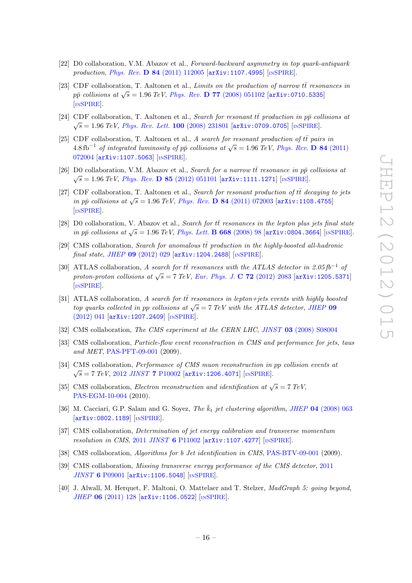- <span id="page-16-0"></span>[22] D0 collaboration, V.M. Abazov et al., Forward-backward asymmetry in top quark-antiquark production, *Phys. Rev. D 84 [\(2011\) 112005](http://dx.doi.org/10.1103/PhysRevD.84.112005)* [[arXiv:1107.4995](http://arxiv.org/abs/1107.4995)] [IN[SPIRE](http://inspirehep.net/search?p=find+EPRINT+arXiv:1107.4995)].
- <span id="page-16-1"></span>[23] CDF collaboration, T. Aaltonen et al., Limits on the production of narrow  $t\bar{t}$  resonances in  $p\bar{p}$  collisions at  $\sqrt{s} = 1.96 \text{ TeV}$ , *Phys. Rev.* **D** 77 [\(2008\) 051102](http://dx.doi.org/10.1103/PhysRevD.77.051102) [[arXiv:0710.5335](http://arxiv.org/abs/0710.5335)] [IN[SPIRE](http://inspirehep.net/search?p=find+EPRINT+arXiv:0710.5335)].
- [24] CDF collaboration, T. Aaltonen et al., Search for resonant  $t\bar{t}$  production in  $p\bar{p}$  collisions at  $\sqrt{s} = 1.96 \text{ TeV}, \text{Phys. Rev. Lett. } 100 \text{ (2008) } 231801 \text{ [arXiv:0709.0705] [INSPIRE].}$  $\sqrt{s} = 1.96 \text{ TeV}, \text{Phys. Rev. Lett. } 100 \text{ (2008) } 231801 \text{ [arXiv:0709.0705] [INSPIRE].}$  $\sqrt{s} = 1.96 \text{ TeV}, \text{Phys. Rev. Lett. } 100 \text{ (2008) } 231801 \text{ [arXiv:0709.0705] [INSPIRE].}$  $\sqrt{s} = 1.96 \text{ TeV}, \text{Phys. Rev. Lett. } 100 \text{ (2008) } 231801 \text{ [arXiv:0709.0705] [INSPIRE].}$  $\sqrt{s} = 1.96 \text{ TeV}, \text{Phys. Rev. Lett. } 100 \text{ (2008) } 231801 \text{ [arXiv:0709.0705] [INSPIRE].}$  $\sqrt{s} = 1.96 \text{ TeV}, \text{Phys. Rev. Lett. } 100 \text{ (2008) } 231801 \text{ [arXiv:0709.0705] [INSPIRE].}$  $\sqrt{s} = 1.96 \text{ TeV}, \text{Phys. Rev. Lett. } 100 \text{ (2008) } 231801 \text{ [arXiv:0709.0705] [INSPIRE].}$
- [25] CDF collaboration, T. Aaltonen et al., A search for resonant production of  $t\bar{t}$  pairs in 4.8 fb<sup>-1</sup> of integrated luminosity of pp⊂collisions at  $\sqrt{s} = 1.96$  TeV, [Phys. Rev.](http://dx.doi.org/10.1103/PhysRevD.84.072004) **D** 84 (2011) [072004](http://dx.doi.org/10.1103/PhysRevD.84.072004) [[arXiv:1107.5063](http://arxiv.org/abs/1107.5063)] [IN[SPIRE](http://inspirehep.net/search?p=find+EPRINT+arXiv:1107.5063)].
- [26] D0 collaboration, V.M. Abazov et al., Search for a narrow  $t\bar{t}$  resonance in  $p\bar{p}$  collisions at  $\sqrt{s} = 1.96 \text{ TeV},$  Phys. Rev. **D 85** [\(2012\) 051101](http://dx.doi.org/10.1103/PhysRevD.85.051101) [[arXiv:1111.1271](http://arxiv.org/abs/1111.1271)] [IN[SPIRE](http://inspirehep.net/search?p=find+EPRINT+arXiv:1111.1271)].
- [27] CDF collaboration, T. Aaltonen et al., Search for resonant production of  $t\bar{t}$  decaying to jets in pp⊂collisions at  $\sqrt{s} = 1.96 \text{ TeV}$ , *Phys. Rev.* **D** 84 [\(2011\) 072003](http://dx.doi.org/10.1103/PhysRevD.84.072003) [[arXiv:1108.4755](http://arxiv.org/abs/1108.4755)] [IN[SPIRE](http://inspirehep.net/search?p=find+EPRINT+arXiv:1108.4755)].
- <span id="page-16-2"></span>[28] D0 collaboration, V. Abazov et al., Search for  $t\bar{t}$  resonances in the lepton plus jets final state  $\mu$  pp $\bar{p}$  collisions at  $\sqrt{s} = 1.96 \text{ TeV}$ , [Phys. Lett.](http://dx.doi.org/10.1016/j.physletb.2008.08.027) **B** 668 (2008) 98 [[arXiv:0804.3664](http://arxiv.org/abs/0804.3664)] [IN[SPIRE](http://inspirehep.net/search?p=find+EPRINT+arXiv:0804.3664)].
- <span id="page-16-3"></span>[29] CMS collaboration, Search for anomalous  $t\bar{t}$  production in the highly-boosted all-hadronic final state, JHEP 09 [\(2012\) 029](http://dx.doi.org/10.1007/JHEP09(2012)029) [[arXiv:1204.2488](http://arxiv.org/abs/1204.2488)] [IN[SPIRE](http://inspirehep.net/search?p=find+EPRINT+arXiv:1204.2488)].
- [30] ATLAS collaboration, A search for  $t\bar{t}$  resonances with the ATLAS detector in 2.05 fb<sup>-1</sup> of proton-proton collisions at  $\sqrt{s} = 7$  TeV, [Eur. Phys. J.](http://dx.doi.org/10.1140/epjc/s10052-012-2083-1) C 72 (2012) 2083 [[arXiv:1205.5371](http://arxiv.org/abs/1205.5371)] [IN[SPIRE](http://inspirehep.net/search?p=find+EPRINT+arXiv:1205.5371)].
- <span id="page-16-4"></span>[31] ATLAS collaboration, A search for  $t\bar{t}$  resonances in lepton+jets events with highly boosted top quarks collected in pp collisions at  $\sqrt{s} = 7$  TeV with the ATLAS detector, [JHEP](http://dx.doi.org/10.1007/JHEP09(2012)041) 09 [\(2012\) 041](http://dx.doi.org/10.1007/JHEP09(2012)041) [[arXiv:1207.2409](http://arxiv.org/abs/1207.2409)] [IN[SPIRE](http://inspirehep.net/search?p=find+EPRINT+arXiv:1207.2409)].
- <span id="page-16-5"></span>[32] CMS collaboration, The CMS experiment at the CERN LHC, JINST 03 [\(2008\) S08004](http://dx.doi.org/10.1088/1748-0221/3/08/S08004)
- <span id="page-16-6"></span>[33] CMS collaboration, *Particle-flow event reconstruction in CMS and performance for jets, taus* and MET, [PAS-PFT-09-001](http://cdsweb.cern.ch/record/1194487) (2009).
- <span id="page-16-7"></span>[34] CMS collaboration, Performance of CMS muon reconstruction in pp collision events at  $\sqrt{s}$  = 7 TeV, 2012 JINST 7 [P10002](http://dx.doi.org/10.1088/1748-0221/7/10/P10002) [[arXiv:1206.4071](http://arxiv.org/abs/1206.4071)] [IN[SPIRE](http://inspirehep.net/search?p=find+EPRINT+arXiv:1206.4071)].
- <span id="page-16-8"></span>[35] CMS collaboration, *Electron reconstruction and identification at*  $\sqrt{s} = 7 \text{ TeV}$ , [PAS-EGM-10-004](http://cdsweb.cern.ch/record/1299116) (2010).
- <span id="page-16-9"></span>[36] M. Cacciari, G.P. Salam and G. Soyez, The  $\bar{k}_t$  jet clustering algorithm, JHEP 04 [\(2008\) 063](http://dx.doi.org/10.1088/1126-6708/2008/04/063) [[arXiv:0802.1189](http://arxiv.org/abs/0802.1189)] [IN[SPIRE](http://inspirehep.net/search?p=find+EPRINT+arXiv:0802.1189)].
- <span id="page-16-10"></span>[37] CMS collaboration, Determination of jet energy calibration and transverse momentum resolution in CMS, 2011 JINST 6 [P11002](http://dx.doi.org/10.1088/1748-0221/6/11/P11002) [[arXiv:1107.4277](http://arxiv.org/abs/1107.4277)] [IN[SPIRE](http://inspirehep.net/search?p=find+EPRINT+arXiv:1107.4277)].
- <span id="page-16-11"></span>[38] CMS collaboration, *Algorithms for b Jet identification in CMS*, [PAS-BTV-09-001](http://cdsweb.cern.ch/record/1194494) (2009).
- <span id="page-16-12"></span>[39] CMS collaboration, *Missing transverse energy performance of the CMS detector*, [2011](http://dx.doi.org/10.1088/1748-0221/6/09/P09001) JINST 6 [P09001](http://dx.doi.org/10.1088/1748-0221/6/09/P09001) [[arXiv:1106.5048](http://arxiv.org/abs/1106.5048)] [IN[SPIRE](http://inspirehep.net/search?p=find+EPRINT+arXiv:1106.5048)].
- <span id="page-16-13"></span>[40] J. Alwall, M. Herquet, F. Maltoni, O. Mattelaer and T. Stelzer, MadGraph 5: going beyond, JHEP 06 [\(2011\) 128](http://dx.doi.org/10.1007/JHEP06(2011)128) [[arXiv:1106.0522](http://arxiv.org/abs/1106.0522)] [IN[SPIRE](http://inspirehep.net/search?p=find+EPRINT+arXiv:1106.0522)].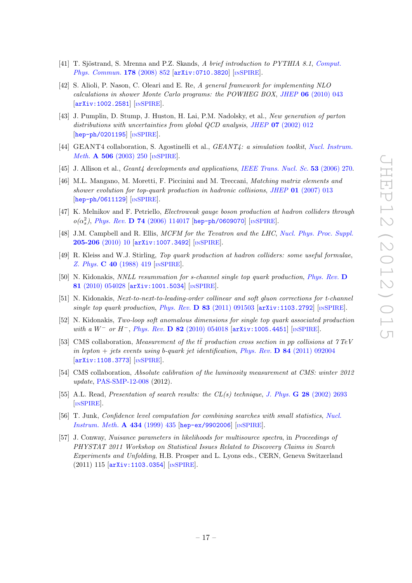- <span id="page-17-0"></span>[41] T. Sjöstrand, S. Mrenna and P.Z. Skands, A brief introduction to PYTHIA 8.1, [Comput.](http://dx.doi.org/10.1016/j.cpc.2008.01.036) [Phys. Commun.](http://dx.doi.org/10.1016/j.cpc.2008.01.036) 178 (2008) 852 [[arXiv:0710.3820](http://arxiv.org/abs/0710.3820)] [IN[SPIRE](http://inspirehep.net/search?p=find+EPRINT+arXiv:0710.3820)].
- <span id="page-17-1"></span>[42] S. Alioli, P. Nason, C. Oleari and E. Re, A general framework for implementing NLO calculations in shower Monte Carlo programs: the POWHEG BOX, JHEP 06 [\(2010\) 043](http://dx.doi.org/10.1007/JHEP06(2010)043) [[arXiv:1002.2581](http://arxiv.org/abs/1002.2581)] [IN[SPIRE](http://inspirehep.net/search?p=find+EPRINT+arXiv:1002.2581)].
- <span id="page-17-2"></span>[43] J. Pumplin, D. Stump, J. Huston, H. Lai, P.M. Nadolsky, et al., New generation of parton distributions with uncertainties from global QCD analysis, JHEP 07 [\(2002\) 012](http://dx.doi.org/10.1088/1126-6708/2002/07/012) [[hep-ph/0201195](http://arxiv.org/abs/hep-ph/0201195)] [IN[SPIRE](http://inspirehep.net/search?p=find+EPRINT+hep-ph/0201195)].
- <span id="page-17-3"></span>[44] GEANT4 collaboration, S. Agostinelli et al., *GEANT4: a simulation toolkit, [Nucl. Instrum.](http://dx.doi.org/10.1016/S0168-9002(03)01368-8)* Meth. A 506 [\(2003\) 250](http://dx.doi.org/10.1016/S0168-9002(03)01368-8) [IN[SPIRE](http://inspirehep.net/search?p=find+J+Nucl.Instrum.Meth.,A506,250)].
- <span id="page-17-4"></span>[45] J. Allison et al., *Geant4* developments and applications, *[IEEE Trans. Nucl. Sc.](http://dx.doi.org/10.1109/TNS.2006.869826)* 53 (2006) 270.
- <span id="page-17-5"></span>[46] M.L. Mangano, M. Moretti, F. Piccinini and M. Treccani, Matching matrix elements and shower evolution for top-quark production in hadronic collisions, JHEP 01 [\(2007\) 013](http://dx.doi.org/10.1088/1126-6708/2007/01/013) [[hep-ph/0611129](http://arxiv.org/abs/hep-ph/0611129)] [IN[SPIRE](http://inspirehep.net/search?p=find+EPRINT+hep-ph/0611129)].
- <span id="page-17-6"></span>[47] K. Melnikov and F. Petriello, Electroweak gauge boson production at hadron colliders through  $o(α<sub>s</sub><sup>2</sup>), Phys. Rev. D$  74 [\(2006\) 114017](http://dx.doi.org/10.1103/PhysRevD.74.114017) [[hep-ph/0609070](http://arxiv.org/abs/hep-ph/0609070)] [IN[SPIRE](http://inspirehep.net/search?p=find+EPRINT+hep-ph/0609070)].
- <span id="page-17-7"></span>[48] J.M. Campbell and R. Ellis, MCFM for the Tevatron and the LHC, [Nucl. Phys. Proc. Suppl.](http://dx.doi.org/10.1016/j.nuclphysBPS.2010.08.011) 205-206 [\(2010\) 10](http://dx.doi.org/10.1016/j.nuclphysBPS.2010.08.011) [[arXiv:1007.3492](http://arxiv.org/abs/1007.3492)] [IN[SPIRE](http://inspirehep.net/search?p=find+EPRINT+arXiv:1007.3492)].
- <span id="page-17-8"></span>[49] R. Kleiss and W.J. Stirling, Top quark production at hadron colliders: some useful formulae, Z. Phys. C 40 [\(1988\) 419](http://dx.doi.org/10.1007/BF01548856) [IN[SPIRE](http://inspirehep.net/search?p=find+J+Z.Physik,C40,419)].
- <span id="page-17-9"></span>[50] N. Kidonakis, NNLL resummation for s-channel single top quark production, [Phys. Rev.](http://dx.doi.org/10.1103/PhysRevD.81.054028) D 81 [\(2010\) 054028](http://dx.doi.org/10.1103/PhysRevD.81.054028) [[arXiv:1001.5034](http://arxiv.org/abs/1001.5034)] [IN[SPIRE](http://inspirehep.net/search?p=find+EPRINT+arXiv:1001.5034)].
- [51] N. Kidonakis, Next-to-next-to-leading-order collinear and soft gluon corrections for t-channel single top quark production, Phys. Rev.  $D$  83 [\(2011\) 091503](http://dx.doi.org/10.1103/PhysRevD.83.091503) [[arXiv:1103.2792](http://arxiv.org/abs/1103.2792)] [IN[SPIRE](http://inspirehep.net/search?p=find+EPRINT+arXiv:1103.2792)].
- <span id="page-17-10"></span>[52] N. Kidonakis, Two-loop soft anomalous dimensions for single top quark associated production with a  $W^-$  or  $H^-$ , Phys. Rev. **D 82** [\(2010\) 054018](http://dx.doi.org/10.1103/PhysRevD.82.054018) [[arXiv:1005.4451](http://arxiv.org/abs/1005.4451)] [IN[SPIRE](http://inspirehep.net/search?p=find+EPRINT+arXiv:1005.4451)].
- <span id="page-17-11"></span>[53] CMS collaboration, *Measurement of the*  $t\bar{t}$  *production cross section in pp collisions at 7 TeV* in lepton  $+$  jets events using b-quark jet identification, Phys. Rev. **D** 84 [\(2011\) 092004](http://dx.doi.org/10.1103/PhysRevD.84.092004) [[arXiv:1108.3773](http://arxiv.org/abs/1108.3773)] [IN[SPIRE](http://inspirehep.net/search?p=find+J+Phys.Rev.,D84,092004)].
- <span id="page-17-12"></span>[54] CMS collaboration, Absolute calibration of the luminosity measurement at CMS: winter 2012 update, [PAS-SMP-12-008](http://cdsweb.cern.ch/record/1434360) (2012).
- <span id="page-17-13"></span>[55] A.L. Read, Presentation of search results: the CL(s) technique, J. Phys. **G 28** [\(2002\) 2693](http://dx.doi.org/10.1088/0954-3899/28/10/313) [IN[SPIRE](http://inspirehep.net/search?p=find+J+J.Phys.,G28,2693)].
- <span id="page-17-14"></span>[56] T. Junk, Confidence level computation for combining searches with small statistics, [Nucl.](http://dx.doi.org/10.1016/S0168-9002(99)00498-2) [Instrum. Meth.](http://dx.doi.org/10.1016/S0168-9002(99)00498-2) A 434 (1999) 435 [[hep-ex/9902006](http://arxiv.org/abs/hep-ex/9902006)] [IN[SPIRE](http://inspirehep.net/search?p=find+EPRINT+hep-ex/9902006)].
- <span id="page-17-15"></span>[57] J. Conway, Nuisance parameters in likelihoods for multisource spectra, in Proceedings of PHYSTAT 2011 Workshop on Statistical Issues Related to Discovery Claims in Search Experiments and Unfolding, H.B. Prosper and L. Lyons eds., CERN, Geneva Switzerland (2011) 115 [[arXiv:1103.0354](http://arxiv.org/abs/1103.0354)] [IN[SPIRE](http://inspirehep.net/search?p=find+EPRINT+arXiv:1103.0354)].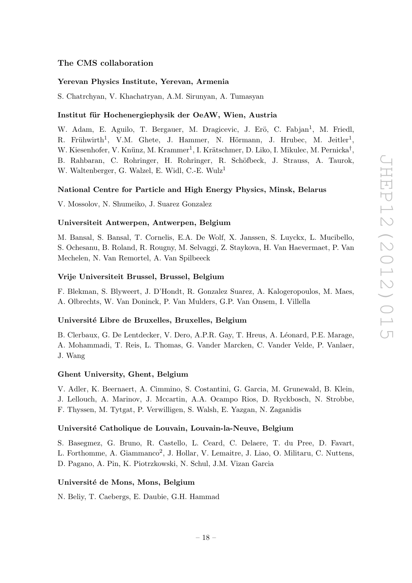# The CMS collaboration

# <span id="page-18-0"></span>Yerevan Physics Institute, Yerevan, Armenia

S. Chatrchyan, V. Khachatryan, A.M. Sirunyan, A. Tumasyan

### Institut für Hochenergiephysik der OeAW, Wien, Austria

W. Adam, E. Aguilo, T. Bergauer, M. Dragicevic, J. Erö, C. Fabjan<sup>1</sup>, M. Friedl, R. Frühwirth<sup>1</sup>, V.M. Ghete, J. Hammer, N. Hörmann, J. Hrubec, M. Jeitler<sup>1</sup>, W. Kiesenhofer, V. Knünz, M. Krammer<sup>1</sup>, I. Krätschmer, D. Liko, I. Mikulec, M. Pernicka<sup>†</sup>, B. Rahbaran, C. Rohringer, H. Rohringer, R. Schöfbeck, J. Strauss, A. Taurok, W. Waltenberger, G. Walzel, E. Widl, C.-E. Wulz<sup>1</sup>

#### National Centre for Particle and High Energy Physics, Minsk, Belarus

V. Mossolov, N. Shumeiko, J. Suarez Gonzalez

# Universiteit Antwerpen, Antwerpen, Belgium

M. Bansal, S. Bansal, T. Cornelis, E.A. De Wolf, X. Janssen, S. Luyckx, L. Mucibello, S. Ochesanu, B. Roland, R. Rougny, M. Selvaggi, Z. Staykova, H. Van Haevermaet, P. Van Mechelen, N. Van Remortel, A. Van Spilbeeck

# Vrije Universiteit Brussel, Brussel, Belgium

F. Blekman, S. Blyweert, J. D'Hondt, R. Gonzalez Suarez, A. Kalogeropoulos, M. Maes, A. Olbrechts, W. Van Doninck, P. Van Mulders, G.P. Van Onsem, I. Villella

#### Universit´e Libre de Bruxelles, Bruxelles, Belgium

B. Clerbaux, G. De Lentdecker, V. Dero, A.P.R. Gay, T. Hreus, A. Léonard, P.E. Marage, A. Mohammadi, T. Reis, L. Thomas, G. Vander Marcken, C. Vander Velde, P. Vanlaer, J. Wang

# Ghent University, Ghent, Belgium

V. Adler, K. Beernaert, A. Cimmino, S. Costantini, G. Garcia, M. Grunewald, B. Klein, J. Lellouch, A. Marinov, J. Mccartin, A.A. Ocampo Rios, D. Ryckbosch, N. Strobbe, F. Thyssen, M. Tytgat, P. Verwilligen, S. Walsh, E. Yazgan, N. Zaganidis

### Université Catholique de Louvain, Louvain-la-Neuve, Belgium

S. Basegmez, G. Bruno, R. Castello, L. Ceard, C. Delaere, T. du Pree, D. Favart, L. Forthomme, A. Giammanco<sup>2</sup>, J. Hollar, V. Lemaitre, J. Liao, O. Militaru, C. Nuttens, D. Pagano, A. Pin, K. Piotrzkowski, N. Schul, J.M. Vizan Garcia

# Université de Mons, Mons, Belgium

N. Beliy, T. Caebergs, E. Daubie, G.H. Hammad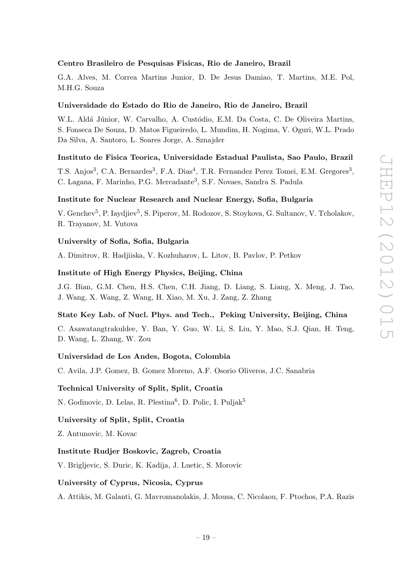### Centro Brasileiro de Pesquisas Fisicas, Rio de Janeiro, Brazil

G.A. Alves, M. Correa Martins Junior, D. De Jesus Damiao, T. Martins, M.E. Pol, M.H.G. Souza

#### Universidade do Estado do Rio de Janeiro, Rio de Janeiro, Brazil

W.L. Aldá Júnior, W. Carvalho, A. Custódio, E.M. Da Costa, C. De Oliveira Martins, S. Fonseca De Souza, D. Matos Figueiredo, L. Mundim, H. Nogima, V. Oguri, W.L. Prado Da Silva, A. Santoro, L. Soares Jorge, A. Sznajder

### Instituto de Fisica Teorica, Universidade Estadual Paulista, Sao Paulo, Brazil

T.S. Anjos<sup>3</sup>, C.A. Bernardes<sup>3</sup>, F.A. Dias<sup>4</sup>, T.R. Fernandez Perez Tomei, E.M. Gregores<sup>3</sup>, C. Lagana, F. Marinho, P.G. Mercadante<sup>3</sup>, S.F. Novaes, Sandra S. Padula

#### Institute for Nuclear Research and Nuclear Energy, Sofia, Bulgaria

V. Genchev<sup>5</sup>, P. Iaydjiev<sup>5</sup>, S. Piperov, M. Rodozov, S. Stoykova, G. Sultanov, V. Tcholakov, R. Trayanov, M. Vutova

# University of Sofia, Sofia, Bulgaria

A. Dimitrov, R. Hadjiiska, V. Kozhuharov, L. Litov, B. Pavlov, P. Petkov

# Institute of High Energy Physics, Beijing, China

J.G. Bian, G.M. Chen, H.S. Chen, C.H. Jiang, D. Liang, S. Liang, X. Meng, J. Tao, J. Wang, X. Wang, Z. Wang, H. Xiao, M. Xu, J. Zang, Z. Zhang

#### State Key Lab. of Nucl. Phys. and Tech., Peking University, Beijing, China

C. Asawatangtrakuldee, Y. Ban, Y. Guo, W. Li, S. Liu, Y. Mao, S.J. Qian, H. Teng, D. Wang, L. Zhang, W. Zou

### Universidad de Los Andes, Bogota, Colombia

C. Avila, J.P. Gomez, B. Gomez Moreno, A.F. Osorio Oliveros, J.C. Sanabria

#### Technical University of Split, Split, Croatia

N. Godinovic, D. Lelas, R. Plestina<sup>6</sup>, D. Polic, I. Puljak<sup>5</sup>

### University of Split, Split, Croatia

Z. Antunovic, M. Kovac

# Institute Rudjer Boskovic, Zagreb, Croatia

V. Brigljevic, S. Duric, K. Kadija, J. Luetic, S. Morovic

#### University of Cyprus, Nicosia, Cyprus

A. Attikis, M. Galanti, G. Mavromanolakis, J. Mousa, C. Nicolaou, F. Ptochos, P.A. Razis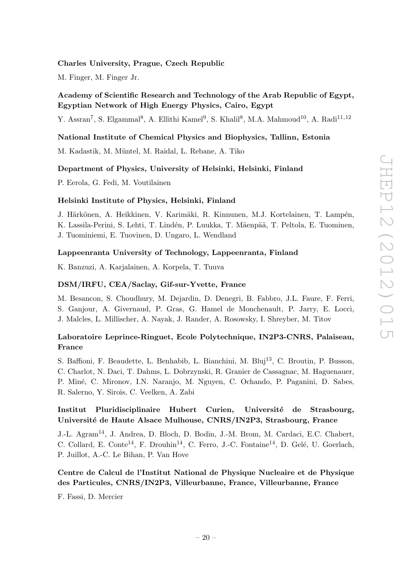### Charles University, Prague, Czech Republic

M. Finger, M. Finger Jr.

# Academy of Scientific Research and Technology of the Arab Republic of Egypt, Egyptian Network of High Energy Physics, Cairo, Egypt

Y. Assran<sup>7</sup>, S. Elgammal<sup>8</sup>, A. Ellithi Kamel<sup>9</sup>, S. Khalil<sup>8</sup>, M.A. Mahmoud<sup>10</sup>, A. Radi<sup>11,12</sup>

## National Institute of Chemical Physics and Biophysics, Tallinn, Estonia

M. Kadastik, M. Müntel, M. Raidal, L. Rebane, A. Tiko

#### Department of Physics, University of Helsinki, Helsinki, Finland

P. Eerola, G. Fedi, M. Voutilainen

# Helsinki Institute of Physics, Helsinki, Finland

J. Härkönen, A. Heikkinen, V. Karimäki, R. Kinnunen, M.J. Kortelainen, T. Lampén, K. Lassila-Perini, S. Lehti, T. Lindén, P. Luukka, T. Mäenpää, T. Peltola, E. Tuominen, J. Tuominiemi, E. Tuovinen, D. Ungaro, L. Wendland

# Lappeenranta University of Technology, Lappeenranta, Finland

K. Banzuzi, A. Karjalainen, A. Korpela, T. Tuuva

# DSM/IRFU, CEA/Saclay, Gif-sur-Yvette, France

M. Besancon, S. Choudhury, M. Dejardin, D. Denegri, B. Fabbro, J.L. Faure, F. Ferri, S. Ganjour, A. Givernaud, P. Gras, G. Hamel de Monchenault, P. Jarry, E. Locci, J. Malcles, L. Millischer, A. Nayak, J. Rander, A. Rosowsky, I. Shreyber, M. Titov

# Laboratoire Leprince-Ringuet, Ecole Polytechnique, IN2P3-CNRS, Palaiseau, France

S. Baffioni, F. Beaudette, L. Benhabib, L. Bianchini, M. Bluj13, C. Broutin, P. Busson, C. Charlot, N. Daci, T. Dahms, L. Dobrzynski, R. Granier de Cassagnac, M. Haguenauer, P. Miné, C. Mironov, I.N. Naranjo, M. Nguyen, C. Ochando, P. Paganini, D. Sabes, R. Salerno, Y. Sirois, C. Veelken, A. Zabi

# Institut Pluridisciplinaire Hubert Curien, Université de Strasbourg, Universit´e de Haute Alsace Mulhouse, CNRS/IN2P3, Strasbourg, France

J.-L. Agram14, J. Andrea, D. Bloch, D. Bodin, J.-M. Brom, M. Cardaci, E.C. Chabert, C. Collard, E. Conte<sup>14</sup>, F. Drouhin<sup>14</sup>, C. Ferro, J.-C. Fontaine<sup>14</sup>, D. Gelé, U. Goerlach, P. Juillot, A.-C. Le Bihan, P. Van Hove

# Centre de Calcul de l'Institut National de Physique Nucleaire et de Physique des Particules, CNRS/IN2P3, Villeurbanne, France, Villeurbanne, France

F. Fassi, D. Mercier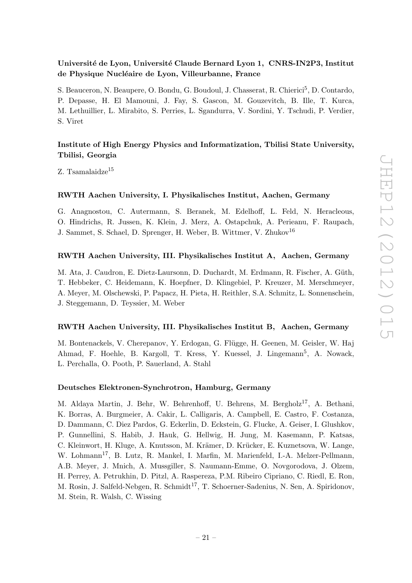# Université de Lyon, Université Claude Bernard Lyon 1, CNRS-IN2P3, Institut de Physique Nucléaire de Lyon, Villeurbanne, France

S. Beauceron, N. Beaupere, O. Bondu, G. Boudoul, J. Chasserat, R. Chierici<sup>5</sup>, D. Contardo, P. Depasse, H. El Mamouni, J. Fay, S. Gascon, M. Gouzevitch, B. Ille, T. Kurca, M. Lethuillier, L. Mirabito, S. Perries, L. Sgandurra, V. Sordini, Y. Tschudi, P. Verdier, S. Viret

# Institute of High Energy Physics and Informatization, Tbilisi State University, Tbilisi, Georgia

Z. Tsamalaidze<sup>15</sup>

# RWTH Aachen University, I. Physikalisches Institut, Aachen, Germany

G. Anagnostou, C. Autermann, S. Beranek, M. Edelhoff, L. Feld, N. Heracleous, O. Hindrichs, R. Jussen, K. Klein, J. Merz, A. Ostapchuk, A. Perieanu, F. Raupach, J. Sammet, S. Schael, D. Sprenger, H. Weber, B. Wittmer, V. Zhukov<sup>16</sup>

# RWTH Aachen University, III. Physikalisches Institut A, Aachen, Germany

M. Ata, J. Caudron, E. Dietz-Laursonn, D. Duchardt, M. Erdmann, R. Fischer, A. Güth, T. Hebbeker, C. Heidemann, K. Hoepfner, D. Klingebiel, P. Kreuzer, M. Merschmeyer, A. Meyer, M. Olschewski, P. Papacz, H. Pieta, H. Reithler, S.A. Schmitz, L. Sonnenschein, J. Steggemann, D. Teyssier, M. Weber

# RWTH Aachen University, III. Physikalisches Institut B, Aachen, Germany

M. Bontenackels, V. Cherepanov, Y. Erdogan, G. Flügge, H. Geenen, M. Geisler, W. Haj Ahmad, F. Hoehle, B. Kargoll, T. Kress, Y. Kuessel, J. Lingemann<sup>5</sup>, A. Nowack, L. Perchalla, O. Pooth, P. Sauerland, A. Stahl

# Deutsches Elektronen-Synchrotron, Hamburg, Germany

M. Aldaya Martin, J. Behr, W. Behrenhoff, U. Behrens, M. Bergholz<sup>17</sup>, A. Bethani, K. Borras, A. Burgmeier, A. Cakir, L. Calligaris, A. Campbell, E. Castro, F. Costanza, D. Dammann, C. Diez Pardos, G. Eckerlin, D. Eckstein, G. Flucke, A. Geiser, I. Glushkov, P. Gunnellini, S. Habib, J. Hauk, G. Hellwig, H. Jung, M. Kasemann, P. Katsas, C. Kleinwort, H. Kluge, A. Knutsson, M. Krämer, D. Krücker, E. Kuznetsova, W. Lange, W. Lohmann<sup>17</sup>, B. Lutz, R. Mankel, I. Marfin, M. Marienfeld, I.-A. Melzer-Pellmann, A.B. Meyer, J. Mnich, A. Mussgiller, S. Naumann-Emme, O. Novgorodova, J. Olzem, H. Perrey, A. Petrukhin, D. Pitzl, A. Raspereza, P.M. Ribeiro Cipriano, C. Riedl, E. Ron, M. Rosin, J. Salfeld-Nebgen, R. Schmidt<sup>17</sup>, T. Schoerner-Sadenius, N. Sen, A. Spiridonov, M. Stein, R. Walsh, C. Wissing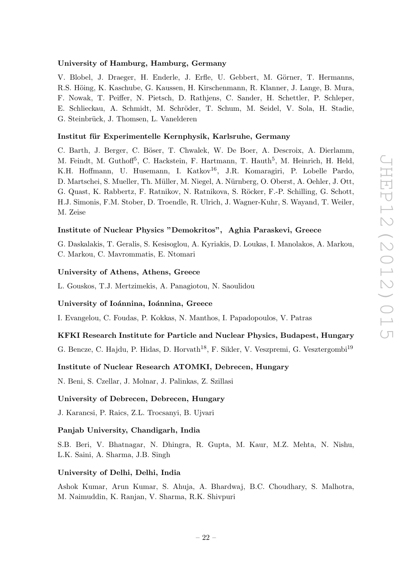# University of Hamburg, Hamburg, Germany

V. Blobel, J. Draeger, H. Enderle, J. Erfle, U. Gebbert, M. Görner, T. Hermanns, R.S. Höing, K. Kaschube, G. Kaussen, H. Kirschenmann, R. Klanner, J. Lange, B. Mura, F. Nowak, T. Peiffer, N. Pietsch, D. Rathjens, C. Sander, H. Schettler, P. Schleper, E. Schlieckau, A. Schmidt, M. Schröder, T. Schum, M. Seidel, V. Sola, H. Stadie, G. Steinbrück, J. Thomsen, L. Vanelderen

# Institut für Experimentelle Kernphysik, Karlsruhe, Germany

C. Barth, J. Berger, C. Böser, T. Chwalek, W. De Boer, A. Descroix, A. Dierlamm, M. Feindt, M. Guthoff<sup>5</sup>, C. Hackstein, F. Hartmann, T. Hauth<sup>5</sup>, M. Heinrich, H. Held, K.H. Hoffmann, U. Husemann, I. Katkov<sup>16</sup>, J.R. Komaragiri, P. Lobelle Pardo, D. Martschei, S. Mueller, Th. Müller, M. Niegel, A. Nürnberg, O. Oberst, A. Oehler, J. Ott, G. Quast, K. Rabbertz, F. Ratnikov, N. Ratnikova, S. Röcker, F.-P. Schilling, G. Schott, H.J. Simonis, F.M. Stober, D. Troendle, R. Ulrich, J. Wagner-Kuhr, S. Wayand, T. Weiler, M. Zeise

# Institute of Nuclear Physics "Demokritos", Aghia Paraskevi, Greece

G. Daskalakis, T. Geralis, S. Kesisoglou, A. Kyriakis, D. Loukas, I. Manolakos, A. Markou, C. Markou, C. Mavrommatis, E. Ntomari

# University of Athens, Athens, Greece

L. Gouskos, T.J. Mertzimekis, A. Panagiotou, N. Saoulidou

#### University of Ioánnina, Ioánnina, Greece

I. Evangelou, C. Foudas, P. Kokkas, N. Manthos, I. Papadopoulos, V. Patras

#### KFKI Research Institute for Particle and Nuclear Physics, Budapest, Hungary

G. Bencze, C. Hajdu, P. Hidas, D. Horvath<sup>18</sup>, F. Sikler, V. Veszpremi, G. Vesztergombi<sup>19</sup>

# Institute of Nuclear Research ATOMKI, Debrecen, Hungary

N. Beni, S. Czellar, J. Molnar, J. Palinkas, Z. Szillasi

# University of Debrecen, Debrecen, Hungary

J. Karancsi, P. Raics, Z.L. Trocsanyi, B. Ujvari

# Panjab University, Chandigarh, India

S.B. Beri, V. Bhatnagar, N. Dhingra, R. Gupta, M. Kaur, M.Z. Mehta, N. Nishu, L.K. Saini, A. Sharma, J.B. Singh

# University of Delhi, Delhi, India

Ashok Kumar, Arun Kumar, S. Ahuja, A. Bhardwaj, B.C. Choudhary, S. Malhotra, M. Naimuddin, K. Ranjan, V. Sharma, R.K. Shivpuri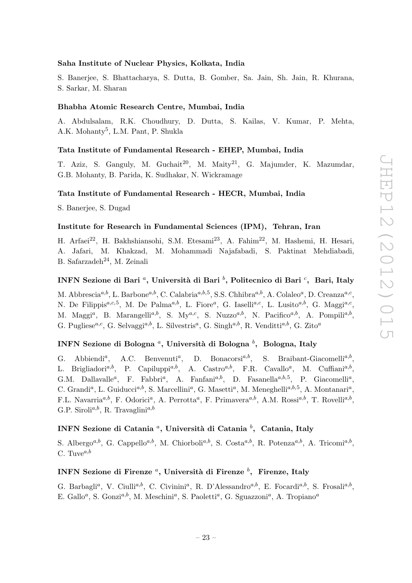### Saha Institute of Nuclear Physics, Kolkata, India

S. Banerjee, S. Bhattacharya, S. Dutta, B. Gomber, Sa. Jain, Sh. Jain, R. Khurana, S. Sarkar, M. Sharan

#### Bhabha Atomic Research Centre, Mumbai, India

A. Abdulsalam, R.K. Choudhury, D. Dutta, S. Kailas, V. Kumar, P. Mehta, A.K. Mohanty<sup>5</sup>, L.M. Pant, P. Shukla

#### Tata Institute of Fundamental Research - EHEP, Mumbai, India

T. Aziz, S. Ganguly, M. Guchait<sup>20</sup>, M. Maity<sup>21</sup>, G. Majumder, K. Mazumdar, G.B. Mohanty, B. Parida, K. Sudhakar, N. Wickramage

# Tata Institute of Fundamental Research - HECR, Mumbai, India

S. Banerjee, S. Dugad

# Institute for Research in Fundamental Sciences (IPM), Tehran, Iran

H. Arfaei<sup>22</sup>, H. Bakhshiansohi, S.M. Etesami<sup>23</sup>, A. Fahim<sup>22</sup>, M. Hashemi, H. Hesari, A. Jafari, M. Khakzad, M. Mohammadi Najafabadi, S. Paktinat Mehdiabadi, B. Safarzadeh<sup>24</sup>, M. Zeinali

# INFN Sezione di Bari <sup>a</sup>, Università di Bari  $^b$ , Politecnico di Bari  $^c$ , Bari, Italy

M. Abbrescia $a,b$ , L. Barbone $a,b$ , C. Calabria $a,b,5$ , S.S. Chhibra $a,b$ , A. Colaleo $^a$ , D. Creanza $^{\alpha,c},$ N. De Filippis<sup>a,c,5</sup>, M. De Palma<sup>a,b</sup>, L. Fiore<sup>a</sup>, G. Iaselli<sup>a,c</sup>, L. Lusito<sup>a,b</sup>, G. Maggi<sup>a,c</sup>, M. Maggi<sup>a</sup>, B. Marangelli<sup>a,b</sup>, S. My<sup>a,c</sup>, S. Nuzzo<sup>a,b</sup>, N. Pacifico<sup>a,b</sup>, A. Pompili<sup>a,b</sup>, G. Pugliese<sup>a,c</sup>, G. Selvaggi<sup>a,b</sup>, L. Silvestris<sup>a</sup>, G. Singh<sup>a,b</sup>, R. Venditti<sup>a,b</sup>, G. Zito<sup>a</sup>

# INFN Sezione di Bologna <sup>a</sup>, Università di Bologna  $^b$ , Bologna, Italy

G. Abbiendi<sup>a</sup>, A.C. Benvenuti<sup>a</sup>, D. Bonacorsi<sup>a,b</sup>, , D. Bonacorsi<sup>a,b</sup>, S. Braibant-Giacomelli<sup>a,b</sup>, L. Brigliadori<sup>a,b</sup>, P. Capiluppi<sup>a,b</sup>, A. Castro<sup>a,b</sup>, F.R. Cavallo<sup>a</sup>, M. Cuffiani<sup>a,b</sup>, G.M. Dallavalle<sup>a</sup>, F. Fabbri<sup>a</sup>, A. Fanfani<sup>a,b</sup>, D. Fasanella<sup>a,b,5</sup>, P. Giacomelli<sup>a</sup>, C. Grandi<sup>a</sup>, L. Guiducci<sup>a,b</sup>, S. Marcellini<sup>a</sup>, G. Masetti<sup>a</sup>, M. Meneghelli<sup>a,b,5</sup>, A. Montanari<sup>a</sup>, F.L. Navarria<sup>*a*,b</sup>, F. Odorici<sup>a</sup>, A. Perrotta<sup>*a*</sup>, F. Primavera<sup>*a*,b</sup>, A.M. Rossi<sup>*a*,b</sup>, T. Rovelli<sup>*a*,b</sup>, G.P. Siroli<sup>a,b</sup>, R. Travaglini<sup>a,b</sup>

# INFN Sezione di Catania <sup>a</sup>, Università di Catania  $^b$ , Catania, Italy

S. Albergo<sup>a,b</sup>, G. Cappello<sup>a,b</sup>, M. Chiorboli<sup>a,b</sup>, S. Costa<sup>a,b</sup>, R. Potenza<sup>a,b</sup>, A. Tricomi<sup>a,b</sup>, C. Tuve $a,b$ 

# INFN Sezione di Firenze <sup>a</sup>, Università di Firenze  $^b$ , Firenze, Italy

G. Barbagli<sup>a</sup>, V. Ciulli<sup>a,b</sup>, C. Civinini<sup>a</sup>, R. D'Alessandro<sup>a,b</sup>, E. Focardi<sup>a,b</sup>, S. Frosali<sup>a,b</sup>, E. Gallo<sup>a</sup>, S. Gonzi<sup>a,b</sup>, M. Meschini<sup>a</sup>, S. Paoletti<sup>a</sup>, G. Sguazzoni<sup>a</sup>, A. Tropiano<sup>a</sup>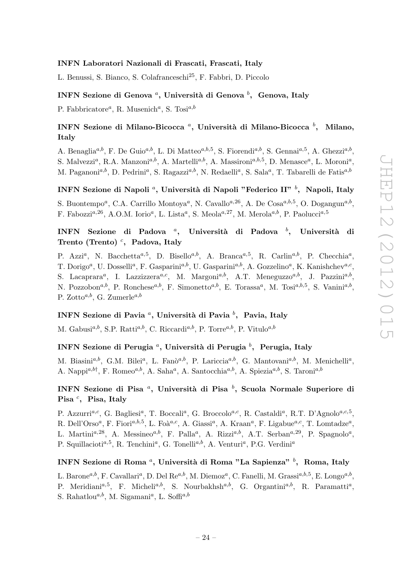### INFN Laboratori Nazionali di Frascati, Frascati, Italy

L. Benussi, S. Bianco, S. Colafranceschi25, F. Fabbri, D. Piccolo

# INFN Sezione di Genova <sup>a</sup>, Università di Genova  $^b$ , Genova, Italy

P. Fabbricatore<sup>a</sup>, R. Musenich<sup>a</sup>, S. Tosi<sup>a,b</sup>

# INFN Sezione di Milano-Bicocca <sup>a</sup>, Università di Milano-Bicocca <sup>b</sup>, Milano, Italy

A. Benaglia<sup>*a,b*</sup>, F. De Guio<sup>*a,b*</sup>, L. Di Matteo<sup>*a,b,*5</sup>, S. Fiorendi<sup>*a,b*</sup>, S. Gennai<sup>*a,5*</sup>, A. Ghezzi<sup>*a,b*</sup>, S. Malvezzi<sup>a</sup>, R.A. Manzoni<sup>a,b</sup>, A. Martelli<sup>a,b</sup>, A. Massironi<sup>a,b,5</sup>, D. Menasce<sup>a</sup>, L. Moroni<sup>a</sup>, M. Paganoni<sup>a,b</sup>, D. Pedrini<sup>a</sup>, S. Ragazzi<sup>a,b</sup>, N. Redaelli<sup>a</sup>, S. Sala<sup>a</sup>, T. Tabarelli de Fatis<sup>a,b</sup>

# INFN Sezione di Napoli <sup>a</sup>, Università di Napoli "Federico II"  $^b$ , Napoli, Italy

S. Buontempo<sup>a</sup>, C.A. Carrillo Montoya<sup>a</sup>, N. Cavallo<sup>a, 26</sup>, A. De Cosa<sup>a, b, 5</sup>, O. Dogangun<sup>a, b</sup>, F. Fabozzi<sup>a, 26</sup>, A.O.M. Iorio<sup>a</sup>, L. Lista<sup>a</sup>, S. Meola<sup>a, 27</sup>, M. Merola<sup>a, b</sup>, P. Paolucci<sup>a, 5</sup>

# INFN Sezione di Padova <sup>a</sup>, Università di Padova <sup>b</sup>, Università di  **(Trento)<sup>c</sup>, Padova, Italy**

P. Azzi<sup>a</sup>, N. Bacchetta<sup>a, 5</sup>, D. Bisello<sup>a,b</sup>, A. Branca<sup>a, 5</sup>, R. Carlin<sup>a,b</sup>, P. Checchia<sup>a</sup>, T. Dorigo<sup>a</sup>, U. Dosselli<sup>a</sup>, F. Gasparini<sup>a,b</sup>, U. Gasparini<sup>a,b</sup>, A. Gozzelino<sup>a</sup>, K. Kanishchev<sup>a,c</sup>, S. Lacaprara<sup>a</sup>, I. Lazzizzera<sup>a,c</sup>, M. Margoni<sup>a,b</sup>, A.T. Meneguzzo<sup>a,b</sup>, J. Pazzini<sup>a,b</sup>, N. Pozzobon<sup>a,b</sup>, P. Ronchese<sup>a,b</sup>, F. Simonetto<sup>a,b</sup>, E. Torassa<sup>a</sup>, M. Tosi<sup>a,b,5</sup>, S. Vanini<sup>a,b</sup>, P. Zotto<br/>a,b, G. Zumerle $a,b$ 

# INFN Sezione di Pavia  $^a,$  Università di Pavia  $^b, \, \,$  Pavia, Italy

M. Gabusi<sup>a,b</sup>, S.P. Ratti<sup>a,b</sup>, C. Riccardi<sup>a,b</sup>, P. Torre<sup>a,b</sup>, P. Vitulo<sup>a,b</sup>

# INFN Sezione di Perugia <sup>a</sup>, Università di Perugia  $^b$ , Perugia, Italy

M. Biasini<sup>a,b</sup>, G.M. Bilei<sup>a</sup>, L. Fanò<sup>a,b</sup>, P. Lariccia<sup>a,b</sup>, G. Mantovani<sup>a,b</sup>, M. Menichelli<sup>a</sup>, A. Nappi<sup>a,b†</sup>, F. Romeo<sup>a,b</sup>, A. Saha<sup>a</sup>, A. Santocchia<sup>a,b</sup>, A. Spiezia<sup>a,b</sup>, S. Taroni<sup>a,b</sup>

# INFN Sezione di Pisa <sup>a</sup>, Università di Pisa <sup>b</sup>, Scuola Normale Superiore di Pisa<sup>c</sup>, Pisa, Italy

P. Azzurri<sup>a,c</sup>, G. Bagliesi<sup>a</sup>, T. Boccali<sup>a</sup>, G. Broccolo<sup>a,c</sup>, R. Castaldi<sup>a</sup>, R.T. D'Agnolo<sup>a,c,5</sup>, R. Dell'Orso<sup>a</sup>, F. Fiori<sup>a,b,5</sup>, L. Foà<sup>a,c</sup>, A. Giassi<sup>a</sup>, A. Kraan<sup>a</sup>, F. Ligabue<sup>a,c</sup>, T. Lomtadze<sup>a</sup>, L. Martini<sup>a, 28</sup>, A. Messineo<sup>a,b</sup>, F. Palla<sup>a</sup>, A. Rizzi<sup>a,b</sup>, A.T. Serban<sup>a, 29</sup>, P. Spagnolo<sup>a</sup>, P. Squillacioti<sup>a, 5</sup>, R. Tenchini<sup>a</sup>, G. Tonelli<sup>a, b</sup>, A. Venturi<sup>a</sup>, P.G. Verdini<sup>a</sup>

# INFN Sezione di Roma <sup>a</sup>, Università di Roma "La Sapienza"  $^b$ , Roma, Italy

L. Barone<sup>a,b</sup>, F. Cavallari<sup>a</sup>, D. Del Re<sup>a,b</sup>, M. Diemoz<sup>a</sup>, C. Fanelli, M. Grassi<sup>a,b,5</sup>, E. Longo<sup>a,b</sup>, P. Meridiani<sup>a,5</sup>, F. Micheli<sup>a,b</sup>, S. Nourbakhsh<sup>a,b</sup>, G. Organtini<sup>a,b</sup>, R. Paramatti<sup>a</sup>, S. Rahatlou<sup>a,b</sup>, M. Sigamani<sup>a</sup>, L. Soffi<sup>a,b</sup>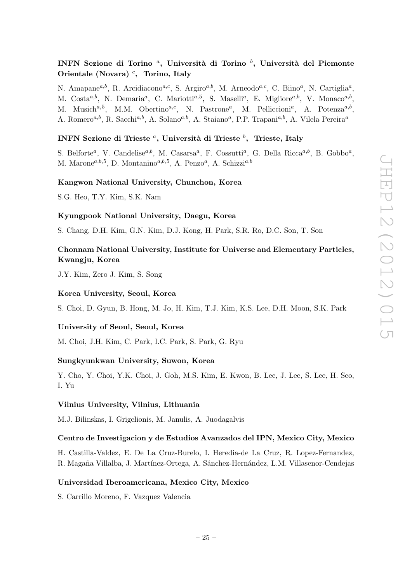# INFN Sezione di Torino <sup>a</sup>, Università di Torino <sup>b</sup>, Università del Piemonte Orientale (Novara)<sup>c</sup>, Torino, Italy

N. Amapane<sup>a,b</sup>, R. Arcidiacono<sup>a,c</sup>, S. Argiro<sup>a,b</sup>, M. Arneodo<sup>a,c</sup>, C. Biino<sup>a</sup>, N. Cartiglia<sup>a</sup>, M. Costa<sup>a,b</sup>, N. Demaria<sup>a</sup>, C. Mariotti<sup>a,5</sup>, S. Maselli<sup>a</sup>, E. Migliore<sup>a,b</sup>, V. Monaco<sup>a,b</sup>, M. Musich<sup>a,5</sup>, M.M. Obertino<sup>a,c</sup>, N. Pastrone<sup>a</sup>, M. Pelliccioni<sup>a</sup>, A. Potenza<sup>a,b</sup>, A. Romero<sup>a,b</sup>, R. Sacchi<sup>a,b</sup>, A. Solano<sup>a,b</sup>, A. Staiano<sup>a</sup>, P.P. Trapani<sup>a,b</sup>, A. Vilela Pereira<sup>a</sup>

# INFN Sezione di Trieste <sup>a</sup>, Università di Trieste  $^b$ , Trieste, Italy

S. Belforte<sup>a</sup>, V. Candelise<sup>a,b</sup>, M. Casarsa<sup>a</sup>, F. Cossutti<sup>a</sup>, G. Della Ricca<sup>a,b</sup>, B. Gobbo<sup>a</sup>, M. Marone<sup>a,b,5</sup>, D. Montanino<sup>a,b,5</sup>, A. Penzo<sup>a</sup>, A. Schizzi<sup>a,b</sup>

#### Kangwon National University, Chunchon, Korea

S.G. Heo, T.Y. Kim, S.K. Nam

# Kyungpook National University, Daegu, Korea

S. Chang, D.H. Kim, G.N. Kim, D.J. Kong, H. Park, S.R. Ro, D.C. Son, T. Son

# Chonnam National University, Institute for Universe and Elementary Particles, Kwangju, Korea

J.Y. Kim, Zero J. Kim, S. Song

# Korea University, Seoul, Korea

S. Choi, D. Gyun, B. Hong, M. Jo, H. Kim, T.J. Kim, K.S. Lee, D.H. Moon, S.K. Park

#### University of Seoul, Seoul, Korea

M. Choi, J.H. Kim, C. Park, I.C. Park, S. Park, G. Ryu

# Sungkyunkwan University, Suwon, Korea

Y. Cho, Y. Choi, Y.K. Choi, J. Goh, M.S. Kim, E. Kwon, B. Lee, J. Lee, S. Lee, H. Seo, I. Yu

# Vilnius University, Vilnius, Lithuania

M.J. Bilinskas, I. Grigelionis, M. Janulis, A. Juodagalvis

#### Centro de Investigacion y de Estudios Avanzados del IPN, Mexico City, Mexico

H. Castilla-Valdez, E. De La Cruz-Burelo, I. Heredia-de La Cruz, R. Lopez-Fernandez, R. Magaña Villalba, J. Martínez-Ortega, A. Sánchez-Hernández, L.M. Villasenor-Cendejas

#### Universidad Iberoamericana, Mexico City, Mexico

S. Carrillo Moreno, F. Vazquez Valencia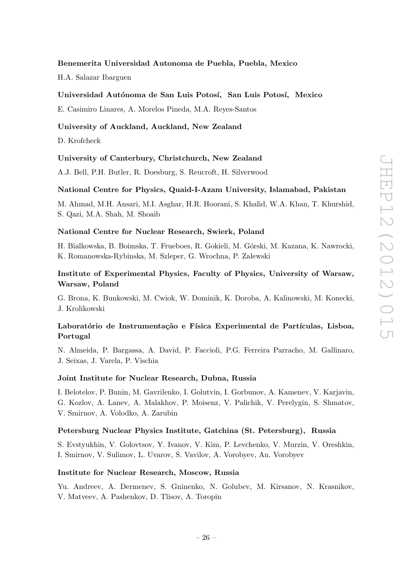#### Benemerita Universidad Autonoma de Puebla, Puebla, Mexico

H.A. Salazar Ibarguen

#### Universidad Autónoma de San Luis Potosí, San Luis Potosí, Mexico

E. Casimiro Linares, A. Morelos Pineda, M.A. Reyes-Santos

# University of Auckland, Auckland, New Zealand

D. Krofcheck

#### University of Canterbury, Christchurch, New Zealand

A.J. Bell, P.H. Butler, R. Doesburg, S. Reucroft, H. Silverwood

# National Centre for Physics, Quaid-I-Azam University, Islamabad, Pakistan

M. Ahmad, M.H. Ansari, M.I. Asghar, H.R. Hoorani, S. Khalid, W.A. Khan, T. Khurshid, S. Qazi, M.A. Shah, M. Shoaib

### National Centre for Nuclear Research, Swierk, Poland

H. Bialkowska, B. Boimska, T. Frueboes, R. Gokieli, M. G´orski, M. Kazana, K. Nawrocki, K. Romanowska-Rybinska, M. Szleper, G. Wrochna, P. Zalewski

# Institute of Experimental Physics, Faculty of Physics, University of Warsaw, Warsaw, Poland

G. Brona, K. Bunkowski, M. Cwiok, W. Dominik, K. Doroba, A. Kalinowski, M. Konecki, J. Krolikowski

# Laboratório de Instrumentação e Física Experimental de Partículas, Lisboa, Portugal

N. Almeida, P. Bargassa, A. David, P. Faccioli, P.G. Ferreira Parracho, M. Gallinaro, J. Seixas, J. Varela, P. Vischia

# Joint Institute for Nuclear Research, Dubna, Russia

I. Belotelov, P. Bunin, M. Gavrilenko, I. Golutvin, I. Gorbunov, A. Kamenev, V. Karjavin, G. Kozlov, A. Lanev, A. Malakhov, P. Moisenz, V. Palichik, V. Perelygin, S. Shmatov, V. Smirnov, A. Volodko, A. Zarubin

### Petersburg Nuclear Physics Institute, Gatchina (St. Petersburg), Russia

S. Evstyukhin, V. Golovtsov, Y. Ivanov, V. Kim, P. Levchenko, V. Murzin, V. Oreshkin, I. Smirnov, V. Sulimov, L. Uvarov, S. Vavilov, A. Vorobyev, An. Vorobyev

### Institute for Nuclear Research, Moscow, Russia

Yu. Andreev, A. Dermenev, S. Gninenko, N. Golubev, M. Kirsanov, N. Krasnikov, V. Matveev, A. Pashenkov, D. Tlisov, A. Toropin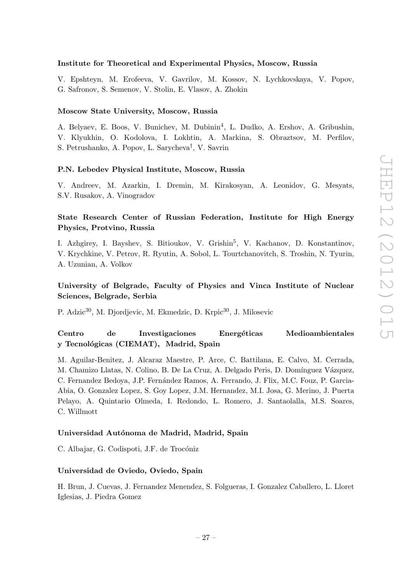#### Institute for Theoretical and Experimental Physics, Moscow, Russia

V. Epshteyn, M. Erofeeva, V. Gavrilov, M. Kossov, N. Lychkovskaya, V. Popov, G. Safronov, S. Semenov, V. Stolin, E. Vlasov, A. Zhokin

#### Moscow State University, Moscow, Russia

A. Belyaev, E. Boos, V. Bunichev, M. Dubinin<sup>4</sup>, L. Dudko, A. Ershov, A. Gribushin, V. Klyukhin, O. Kodolova, I. Lokhtin, A. Markina, S. Obraztsov, M. Perfilov, S. Petrushanko, A. Popov, L. Sarycheva† , V. Savrin

#### P.N. Lebedev Physical Institute, Moscow, Russia

V. Andreev, M. Azarkin, I. Dremin, M. Kirakosyan, A. Leonidov, G. Mesyats, S.V. Rusakov, A. Vinogradov

# State Research Center of Russian Federation, Institute for High Energy Physics, Protvino, Russia

I. Azhgirey, I. Bayshev, S. Bitioukov, V. Grishin<sup>5</sup>, V. Kachanov, D. Konstantinov, V. Krychkine, V. Petrov, R. Ryutin, A. Sobol, L. Tourtchanovitch, S. Troshin, N. Tyurin, A. Uzunian, A. Volkov

# University of Belgrade, Faculty of Physics and Vinca Institute of Nuclear Sciences, Belgrade, Serbia

P. Adzic<sup>30</sup>, M. Djordjevic, M. Ekmedzic, D. Krpic<sup>30</sup>, J. Milosevic

# Centro de Investigaciones Energéticas Medioambientales y Tecnológicas (CIEMAT), Madrid, Spain

M. Aguilar-Benitez, J. Alcaraz Maestre, P. Arce, C. Battilana, E. Calvo, M. Cerrada, M. Chamizo Llatas, N. Colino, B. De La Cruz, A. Delgado Peris, D. Domínguez Vázquez, C. Fernandez Bedoya, J.P. Fernández Ramos, A. Ferrando, J. Flix, M.C. Fouz, P. Garcia-Abia, O. Gonzalez Lopez, S. Goy Lopez, J.M. Hernandez, M.I. Josa, G. Merino, J. Puerta Pelayo, A. Quintario Olmeda, I. Redondo, L. Romero, J. Santaolalla, M.S. Soares, C. Willmott

### Universidad Autónoma de Madrid, Madrid, Spain

C. Albajar, G. Codispoti, J.F. de Trocóniz

# Universidad de Oviedo, Oviedo, Spain

H. Brun, J. Cuevas, J. Fernandez Menendez, S. Folgueras, I. Gonzalez Caballero, L. Lloret Iglesias, J. Piedra Gomez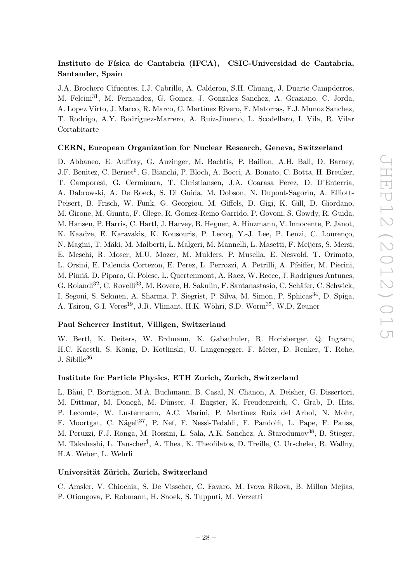# Instituto de Física de Cantabria (IFCA), CSIC-Universidad de Cantabria, Santander, Spain

J.A. Brochero Cifuentes, I.J. Cabrillo, A. Calderon, S.H. Chuang, J. Duarte Campderros, M. Felcini31, M. Fernandez, G. Gomez, J. Gonzalez Sanchez, A. Graziano, C. Jorda, A. Lopez Virto, J. Marco, R. Marco, C. Martinez Rivero, F. Matorras, F.J. Munoz Sanchez, T. Rodrigo, A.Y. Rodríguez-Marrero, A. Ruiz-Jimeno, L. Scodellaro, I. Vila, R. Vilar Cortabitarte

# CERN, European Organization for Nuclear Research, Geneva, Switzerland

D. Abbaneo, E. Auffray, G. Auzinger, M. Bachtis, P. Baillon, A.H. Ball, D. Barney, J.F. Benitez, C. Bernet<sup>6</sup>, G. Bianchi, P. Bloch, A. Bocci, A. Bonato, C. Botta, H. Breuker, T. Camporesi, G. Cerminara, T. Christiansen, J.A. Coarasa Perez, D. D'Enterria, A. Dabrowski, A. De Roeck, S. Di Guida, M. Dobson, N. Dupont-Sagorin, A. Elliott-Peisert, B. Frisch, W. Funk, G. Georgiou, M. Giffels, D. Gigi, K. Gill, D. Giordano, M. Girone, M. Giunta, F. Glege, R. Gomez-Reino Garrido, P. Govoni, S. Gowdy, R. Guida, M. Hansen, P. Harris, C. Hartl, J. Harvey, B. Hegner, A. Hinzmann, V. Innocente, P. Janot, K. Kaadze, E. Karavakis, K. Kousouris, P. Lecoq, Y.-J. Lee, P. Lenzi, C. Lourenço, N. Magini, T. Mäki, M. Malberti, L. Malgeri, M. Mannelli, L. Masetti, F. Meijers, S. Mersi, E. Meschi, R. Moser, M.U. Mozer, M. Mulders, P. Musella, E. Nesvold, T. Orimoto, L. Orsini, E. Palencia Cortezon, E. Perez, L. Perrozzi, A. Petrilli, A. Pfeiffer, M. Pierini, M. Pimiä, D. Piparo, G. Polese, L. Quertenmont, A. Racz, W. Reece, J. Rodrigues Antunes, G. Rolandi<sup>32</sup>, C. Rovelli<sup>33</sup>, M. Rovere, H. Sakulin, F. Santanastasio, C. Schäfer, C. Schwick, I. Segoni, S. Sekmen, A. Sharma, P. Siegrist, P. Silva, M. Simon, P. Sphicas<sup>34</sup>, D. Spiga, A. Tsirou, G.I. Veres<sup>19</sup>, J.R. Vlimant, H.K. Wöhri, S.D. Worm<sup>35</sup>, W.D. Zeuner

# Paul Scherrer Institut, Villigen, Switzerland

W. Bertl, K. Deiters, W. Erdmann, K. Gabathuler, R. Horisberger, Q. Ingram, H.C. Kaestli, S. König, D. Kotlinski, U. Langenegger, F. Meier, D. Renker, T. Rohe, J. Sibille $36$ 

#### Institute for Particle Physics, ETH Zurich, Zurich, Switzerland

L. Bäni, P. Bortignon, M.A. Buchmann, B. Casal, N. Chanon, A. Deisher, G. Dissertori, M. Dittmar, M. Donegà, M. Dünser, J. Eugster, K. Freudenreich, C. Grab, D. Hits, P. Lecomte, W. Lustermann, A.C. Marini, P. Martinez Ruiz del Arbol, N. Mohr, F. Moortgat, C. Nägeli<sup>37</sup>, P. Nef, F. Nessi-Tedaldi, F. Pandolfi, L. Pape, F. Pauss, M. Peruzzi, F.J. Ronga, M. Rossini, L. Sala, A.K. Sanchez, A. Starodumov<sup>38</sup>, B. Stieger, M. Takahashi, L. Tauscher† , A. Thea, K. Theofilatos, D. Treille, C. Urscheler, R. Wallny, H.A. Weber, L. Wehrli

#### Universität Zürich, Zurich, Switzerland

C. Amsler, V. Chiochia, S. De Visscher, C. Favaro, M. Ivova Rikova, B. Millan Mejias, P. Otiougova, P. Robmann, H. Snoek, S. Tupputi, M. Verzetti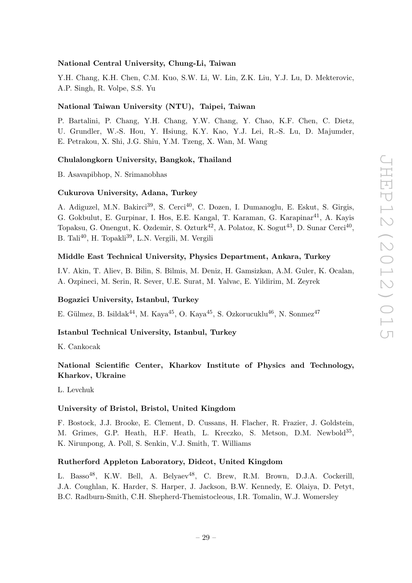# National Central University, Chung-Li, Taiwan

Y.H. Chang, K.H. Chen, C.M. Kuo, S.W. Li, W. Lin, Z.K. Liu, Y.J. Lu, D. Mekterovic, A.P. Singh, R. Volpe, S.S. Yu

#### National Taiwan University (NTU), Taipei, Taiwan

P. Bartalini, P. Chang, Y.H. Chang, Y.W. Chang, Y. Chao, K.F. Chen, C. Dietz, U. Grundler, W.-S. Hou, Y. Hsiung, K.Y. Kao, Y.J. Lei, R.-S. Lu, D. Majumder, E. Petrakou, X. Shi, J.G. Shiu, Y.M. Tzeng, X. Wan, M. Wang

### Chulalongkorn University, Bangkok, Thailand

B. Asavapibhop, N. Srimanobhas

# Cukurova University, Adana, Turkey

A. Adiguzel, M.N. Bakirci<sup>39</sup>, S. Cerci<sup>40</sup>, C. Dozen, I. Dumanoglu, E. Eskut, S. Girgis, G. Gokbulut, E. Gurpinar, I. Hos, E.E. Kangal, T. Karaman, G. Karapinar<sup>41</sup>, A. Kavis Topaksu, G. Onengut, K. Ozdemir, S. Ozturk<sup>42</sup>, A. Polatoz, K. Sogut<sup>43</sup>, D. Sunar Cerci<sup>40</sup>, B. Tali<sup>40</sup>, H. Topakli<sup>39</sup>, L.N. Vergili, M. Vergili

# Middle East Technical University, Physics Department, Ankara, Turkey

I.V. Akin, T. Aliev, B. Bilin, S. Bilmis, M. Deniz, H. Gamsizkan, A.M. Guler, K. Ocalan, A. Ozpineci, M. Serin, R. Sever, U.E. Surat, M. Yalvac, E. Yildirim, M. Zeyrek

# Bogazici University, Istanbul, Turkey

E. Gülmez, B. Isildak<sup>44</sup>, M. Kaya<sup>45</sup>, O. Kaya<sup>45</sup>, S. Ozkorucuklu<sup>46</sup>, N. Sonmez<sup>47</sup>

# Istanbul Technical University, Istanbul, Turkey

K. Cankocak

# National Scientific Center, Kharkov Institute of Physics and Technology, Kharkov, Ukraine

L. Levchuk

# University of Bristol, Bristol, United Kingdom

F. Bostock, J.J. Brooke, E. Clement, D. Cussans, H. Flacher, R. Frazier, J. Goldstein, M. Grimes, G.P. Heath, H.F. Heath, L. Kreczko, S. Metson, D.M. Newbold<sup>35</sup>, K. Nirunpong, A. Poll, S. Senkin, V.J. Smith, T. Williams

# Rutherford Appleton Laboratory, Didcot, United Kingdom

L. Basso<sup>48</sup>, K.W. Bell, A. Belyaev<sup>48</sup>, C. Brew, R.M. Brown, D.J.A. Cockerill, J.A. Coughlan, K. Harder, S. Harper, J. Jackson, B.W. Kennedy, E. Olaiya, D. Petyt, B.C. Radburn-Smith, C.H. Shepherd-Themistocleous, I.R. Tomalin, W.J. Womersley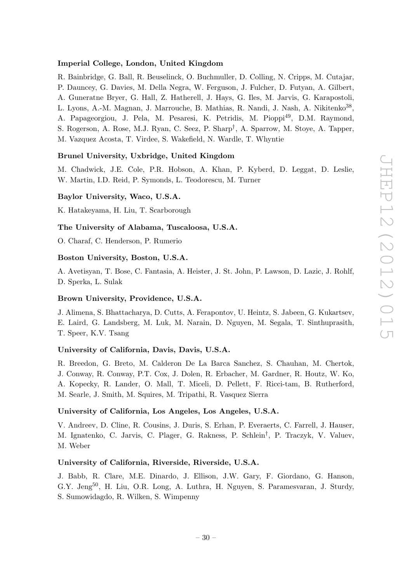### Imperial College, London, United Kingdom

R. Bainbridge, G. Ball, R. Beuselinck, O. Buchmuller, D. Colling, N. Cripps, M. Cutajar, P. Dauncey, G. Davies, M. Della Negra, W. Ferguson, J. Fulcher, D. Futyan, A. Gilbert, A. Guneratne Bryer, G. Hall, Z. Hatherell, J. Hays, G. Iles, M. Jarvis, G. Karapostoli, L. Lyons, A.-M. Magnan, J. Marrouche, B. Mathias, R. Nandi, J. Nash, A. Nikitenko<sup>38</sup>, A. Papageorgiou, J. Pela, M. Pesaresi, K. Petridis, M. Pioppi<sup>49</sup>, D.M. Raymond, S. Rogerson, A. Rose, M.J. Ryan, C. Seez, P. Sharp† , A. Sparrow, M. Stoye, A. Tapper, M. Vazquez Acosta, T. Virdee, S. Wakefield, N. Wardle, T. Whyntie

# Brunel University, Uxbridge, United Kingdom

M. Chadwick, J.E. Cole, P.R. Hobson, A. Khan, P. Kyberd, D. Leggat, D. Leslie, W. Martin, I.D. Reid, P. Symonds, L. Teodorescu, M. Turner

# Baylor University, Waco, U.S.A.

K. Hatakeyama, H. Liu, T. Scarborough

# The University of Alabama, Tuscaloosa, U.S.A.

O. Charaf, C. Henderson, P. Rumerio

#### Boston University, Boston, U.S.A.

A. Avetisyan, T. Bose, C. Fantasia, A. Heister, J. St. John, P. Lawson, D. Lazic, J. Rohlf, D. Sperka, L. Sulak

# Brown University, Providence, U.S.A.

J. Alimena, S. Bhattacharya, D. Cutts, A. Ferapontov, U. Heintz, S. Jabeen, G. Kukartsev, E. Laird, G. Landsberg, M. Luk, M. Narain, D. Nguyen, M. Segala, T. Sinthuprasith, T. Speer, K.V. Tsang

# University of California, Davis, Davis, U.S.A.

R. Breedon, G. Breto, M. Calderon De La Barca Sanchez, S. Chauhan, M. Chertok, J. Conway, R. Conway, P.T. Cox, J. Dolen, R. Erbacher, M. Gardner, R. Houtz, W. Ko, A. Kopecky, R. Lander, O. Mall, T. Miceli, D. Pellett, F. Ricci-tam, B. Rutherford, M. Searle, J. Smith, M. Squires, M. Tripathi, R. Vasquez Sierra

#### University of California, Los Angeles, Los Angeles, U.S.A.

V. Andreev, D. Cline, R. Cousins, J. Duris, S. Erhan, P. Everaerts, C. Farrell, J. Hauser, M. Ignatenko, C. Jarvis, C. Plager, G. Rakness, P. Schlein† , P. Traczyk, V. Valuev, M. Weber

# University of California, Riverside, Riverside, U.S.A.

J. Babb, R. Clare, M.E. Dinardo, J. Ellison, J.W. Gary, F. Giordano, G. Hanson, G.Y. Jeng50, H. Liu, O.R. Long, A. Luthra, H. Nguyen, S. Paramesvaran, J. Sturdy, S. Sumowidagdo, R. Wilken, S. Wimpenny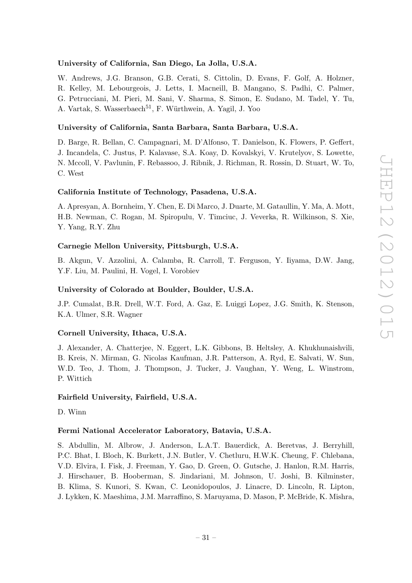# University of California, San Diego, La Jolla, U.S.A.

W. Andrews, J.G. Branson, G.B. Cerati, S. Cittolin, D. Evans, F. Golf, A. Holzner, R. Kelley, M. Lebourgeois, J. Letts, I. Macneill, B. Mangano, S. Padhi, C. Palmer, G. Petrucciani, M. Pieri, M. Sani, V. Sharma, S. Simon, E. Sudano, M. Tadel, Y. Tu, A. Vartak, S. Wasserbaech<sup>51</sup>, F. Würthwein, A. Yagil, J. Yoo

### University of California, Santa Barbara, Santa Barbara, U.S.A.

D. Barge, R. Bellan, C. Campagnari, M. D'Alfonso, T. Danielson, K. Flowers, P. Geffert, J. Incandela, C. Justus, P. Kalavase, S.A. Koay, D. Kovalskyi, V. Krutelyov, S. Lowette, N. Mccoll, V. Pavlunin, F. Rebassoo, J. Ribnik, J. Richman, R. Rossin, D. Stuart, W. To, C. West

#### California Institute of Technology, Pasadena, U.S.A.

A. Apresyan, A. Bornheim, Y. Chen, E. Di Marco, J. Duarte, M. Gataullin, Y. Ma, A. Mott, H.B. Newman, C. Rogan, M. Spiropulu, V. Timciuc, J. Veverka, R. Wilkinson, S. Xie, Y. Yang, R.Y. Zhu

# Carnegie Mellon University, Pittsburgh, U.S.A.

B. Akgun, V. Azzolini, A. Calamba, R. Carroll, T. Ferguson, Y. Iiyama, D.W. Jang, Y.F. Liu, M. Paulini, H. Vogel, I. Vorobiev

#### University of Colorado at Boulder, Boulder, U.S.A.

J.P. Cumalat, B.R. Drell, W.T. Ford, A. Gaz, E. Luiggi Lopez, J.G. Smith, K. Stenson, K.A. Ulmer, S.R. Wagner

# Cornell University, Ithaca, U.S.A.

J. Alexander, A. Chatterjee, N. Eggert, L.K. Gibbons, B. Heltsley, A. Khukhunaishvili, B. Kreis, N. Mirman, G. Nicolas Kaufman, J.R. Patterson, A. Ryd, E. Salvati, W. Sun, W.D. Teo, J. Thom, J. Thompson, J. Tucker, J. Vaughan, Y. Weng, L. Winstrom, P. Wittich

# Fairfield University, Fairfield, U.S.A.

D. Winn

### Fermi National Accelerator Laboratory, Batavia, U.S.A.

S. Abdullin, M. Albrow, J. Anderson, L.A.T. Bauerdick, A. Beretvas, J. Berryhill, P.C. Bhat, I. Bloch, K. Burkett, J.N. Butler, V. Chetluru, H.W.K. Cheung, F. Chlebana, V.D. Elvira, I. Fisk, J. Freeman, Y. Gao, D. Green, O. Gutsche, J. Hanlon, R.M. Harris, J. Hirschauer, B. Hooberman, S. Jindariani, M. Johnson, U. Joshi, B. Kilminster, B. Klima, S. Kunori, S. Kwan, C. Leonidopoulos, J. Linacre, D. Lincoln, R. Lipton, J. Lykken, K. Maeshima, J.M. Marraffino, S. Maruyama, D. Mason, P. McBride, K. Mishra,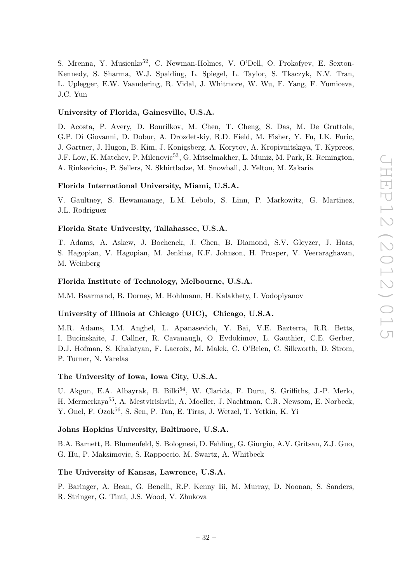S. Mrenna, Y. Musienko<sup>52</sup>, C. Newman-Holmes, V. O'Dell, O. Prokofyev, E. Sexton-Kennedy, S. Sharma, W.J. Spalding, L. Spiegel, L. Taylor, S. Tkaczyk, N.V. Tran, L. Uplegger, E.W. Vaandering, R. Vidal, J. Whitmore, W. Wu, F. Yang, F. Yumiceva, J.C. Yun

# University of Florida, Gainesville, U.S.A.

D. Acosta, P. Avery, D. Bourilkov, M. Chen, T. Cheng, S. Das, M. De Gruttola, G.P. Di Giovanni, D. Dobur, A. Drozdetskiy, R.D. Field, M. Fisher, Y. Fu, I.K. Furic, J. Gartner, J. Hugon, B. Kim, J. Konigsberg, A. Korytov, A. Kropivnitskaya, T. Kypreos, J.F. Low, K. Matchev, P. Milenovic<sup>53</sup>, G. Mitselmakher, L. Muniz, M. Park, R. Remington, A. Rinkevicius, P. Sellers, N. Skhirtladze, M. Snowball, J. Yelton, M. Zakaria

#### Florida International University, Miami, U.S.A.

V. Gaultney, S. Hewamanage, L.M. Lebolo, S. Linn, P. Markowitz, G. Martinez, J.L. Rodriguez

#### Florida State University, Tallahassee, U.S.A.

T. Adams, A. Askew, J. Bochenek, J. Chen, B. Diamond, S.V. Gleyzer, J. Haas, S. Hagopian, V. Hagopian, M. Jenkins, K.F. Johnson, H. Prosper, V. Veeraraghavan, M. Weinberg

#### Florida Institute of Technology, Melbourne, U.S.A.

M.M. Baarmand, B. Dorney, M. Hohlmann, H. Kalakhety, I. Vodopiyanov

# University of Illinois at Chicago (UIC), Chicago, U.S.A.

M.R. Adams, I.M. Anghel, L. Apanasevich, Y. Bai, V.E. Bazterra, R.R. Betts, I. Bucinskaite, J. Callner, R. Cavanaugh, O. Evdokimov, L. Gauthier, C.E. Gerber, D.J. Hofman, S. Khalatyan, F. Lacroix, M. Malek, C. O'Brien, C. Silkworth, D. Strom, P. Turner, N. Varelas

# The University of Iowa, Iowa City, U.S.A.

U. Akgun, E.A. Albayrak, B. Bilki<sup>54</sup>, W. Clarida, F. Duru, S. Griffiths, J.-P. Merlo, H. Mermerkaya55, A. Mestvirishvili, A. Moeller, J. Nachtman, C.R. Newsom, E. Norbeck, Y. Onel, F. Ozok<sup>56</sup>, S. Sen, P. Tan, E. Tiras, J. Wetzel, T. Yetkin, K. Yi

# Johns Hopkins University, Baltimore, U.S.A.

B.A. Barnett, B. Blumenfeld, S. Bolognesi, D. Fehling, G. Giurgiu, A.V. Gritsan, Z.J. Guo, G. Hu, P. Maksimovic, S. Rappoccio, M. Swartz, A. Whitbeck

# The University of Kansas, Lawrence, U.S.A.

P. Baringer, A. Bean, G. Benelli, R.P. Kenny Iii, M. Murray, D. Noonan, S. Sanders, R. Stringer, G. Tinti, J.S. Wood, V. Zhukova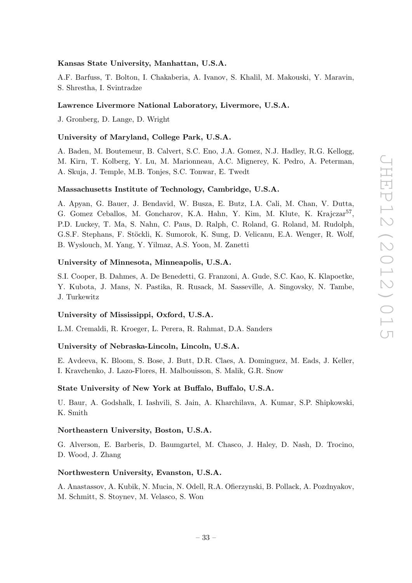# Kansas State University, Manhattan, U.S.A.

A.F. Barfuss, T. Bolton, I. Chakaberia, A. Ivanov, S. Khalil, M. Makouski, Y. Maravin, S. Shrestha, I. Svintradze

#### Lawrence Livermore National Laboratory, Livermore, U.S.A.

J. Gronberg, D. Lange, D. Wright

#### University of Maryland, College Park, U.S.A.

A. Baden, M. Boutemeur, B. Calvert, S.C. Eno, J.A. Gomez, N.J. Hadley, R.G. Kellogg, M. Kirn, T. Kolberg, Y. Lu, M. Marionneau, A.C. Mignerey, K. Pedro, A. Peterman, A. Skuja, J. Temple, M.B. Tonjes, S.C. Tonwar, E. Twedt

#### Massachusetts Institute of Technology, Cambridge, U.S.A.

A. Apyan, G. Bauer, J. Bendavid, W. Busza, E. Butz, I.A. Cali, M. Chan, V. Dutta, G. Gomez Ceballos, M. Goncharov, K.A. Hahn, Y. Kim, M. Klute, K. Krajczar<sup>57</sup>, P.D. Luckey, T. Ma, S. Nahn, C. Paus, D. Ralph, C. Roland, G. Roland, M. Rudolph, G.S.F. Stephans, F. Stöckli, K. Sumorok, K. Sung, D. Velicanu, E.A. Wenger, R. Wolf, B. Wyslouch, M. Yang, Y. Yilmaz, A.S. Yoon, M. Zanetti

# University of Minnesota, Minneapolis, U.S.A.

S.I. Cooper, B. Dahmes, A. De Benedetti, G. Franzoni, A. Gude, S.C. Kao, K. Klapoetke, Y. Kubota, J. Mans, N. Pastika, R. Rusack, M. Sasseville, A. Singovsky, N. Tambe, J. Turkewitz

# University of Mississippi, Oxford, U.S.A.

L.M. Cremaldi, R. Kroeger, L. Perera, R. Rahmat, D.A. Sanders

# University of Nebraska-Lincoln, Lincoln, U.S.A.

E. Avdeeva, K. Bloom, S. Bose, J. Butt, D.R. Claes, A. Dominguez, M. Eads, J. Keller, I. Kravchenko, J. Lazo-Flores, H. Malbouisson, S. Malik, G.R. Snow

#### State University of New York at Buffalo, Buffalo, U.S.A.

U. Baur, A. Godshalk, I. Iashvili, S. Jain, A. Kharchilava, A. Kumar, S.P. Shipkowski, K. Smith

#### Northeastern University, Boston, U.S.A.

G. Alverson, E. Barberis, D. Baumgartel, M. Chasco, J. Haley, D. Nash, D. Trocino, D. Wood, J. Zhang

# Northwestern University, Evanston, U.S.A.

A. Anastassov, A. Kubik, N. Mucia, N. Odell, R.A. Ofierzynski, B. Pollack, A. Pozdnyakov, M. Schmitt, S. Stoynev, M. Velasco, S. Won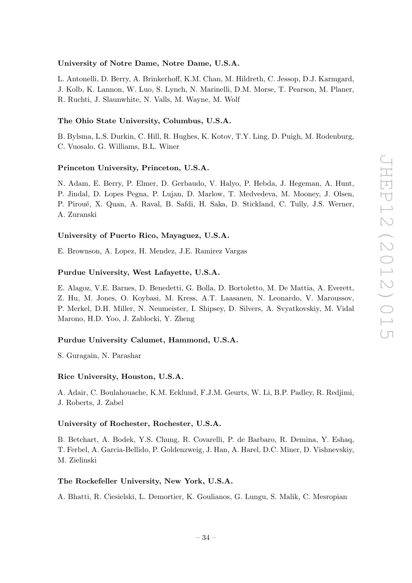# University of Notre Dame, Notre Dame, U.S.A.

L. Antonelli, D. Berry, A. Brinkerhoff, K.M. Chan, M. Hildreth, C. Jessop, D.J. Karmgard, J. Kolb, K. Lannon, W. Luo, S. Lynch, N. Marinelli, D.M. Morse, T. Pearson, M. Planer, R. Ruchti, J. Slaunwhite, N. Valls, M. Wayne, M. Wolf

### The Ohio State University, Columbus, U.S.A.

B. Bylsma, L.S. Durkin, C. Hill, R. Hughes, K. Kotov, T.Y. Ling, D. Puigh, M. Rodenburg, C. Vuosalo, G. Williams, B.L. Winer

#### Princeton University, Princeton, U.S.A.

N. Adam, E. Berry, P. Elmer, D. Gerbaudo, V. Halyo, P. Hebda, J. Hegeman, A. Hunt, P. Jindal, D. Lopes Pegna, P. Lujan, D. Marlow, T. Medvedeva, M. Mooney, J. Olsen, P. Piroué, X. Quan, A. Raval, B. Safdi, H. Saka, D. Stickland, C. Tully, J.S. Werner, A. Zuranski

# University of Puerto Rico, Mayaguez, U.S.A.

E. Brownson, A. Lopez, H. Mendez, J.E. Ramirez Vargas

# Purdue University, West Lafayette, U.S.A.

E. Alagoz, V.E. Barnes, D. Benedetti, G. Bolla, D. Bortoletto, M. De Mattia, A. Everett, Z. Hu, M. Jones, O. Koybasi, M. Kress, A.T. Laasanen, N. Leonardo, V. Maroussov, P. Merkel, D.H. Miller, N. Neumeister, I. Shipsey, D. Silvers, A. Svyatkovskiy, M. Vidal Marono, H.D. Yoo, J. Zablocki, Y. Zheng

### Purdue University Calumet, Hammond, U.S.A.

S. Guragain, N. Parashar

# Rice University, Houston, U.S.A.

A. Adair, C. Boulahouache, K.M. Ecklund, F.J.M. Geurts, W. Li, B.P. Padley, R. Redjimi, J. Roberts, J. Zabel

# University of Rochester, Rochester, U.S.A.

B. Betchart, A. Bodek, Y.S. Chung, R. Covarelli, P. de Barbaro, R. Demina, Y. Eshaq, T. Ferbel, A. Garcia-Bellido, P. Goldenzweig, J. Han, A. Harel, D.C. Miner, D. Vishnevskiy, M. Zielinski

### The Rockefeller University, New York, U.S.A.

A. Bhatti, R. Ciesielski, L. Demortier, K. Goulianos, G. Lungu, S. Malik, C. Mesropian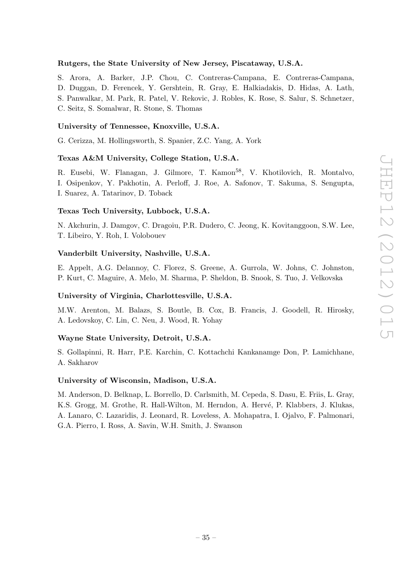# Rutgers, the State University of New Jersey, Piscataway, U.S.A.

S. Arora, A. Barker, J.P. Chou, C. Contreras-Campana, E. Contreras-Campana, D. Duggan, D. Ferencek, Y. Gershtein, R. Gray, E. Halkiadakis, D. Hidas, A. Lath, S. Panwalkar, M. Park, R. Patel, V. Rekovic, J. Robles, K. Rose, S. Salur, S. Schnetzer, C. Seitz, S. Somalwar, R. Stone, S. Thomas

# University of Tennessee, Knoxville, U.S.A.

G. Cerizza, M. Hollingsworth, S. Spanier, Z.C. Yang, A. York

### Texas A&M University, College Station, U.S.A.

R. Eusebi, W. Flanagan, J. Gilmore, T. Kamon<sup>58</sup>, V. Khotilovich, R. Montalvo, I. Osipenkov, Y. Pakhotin, A. Perloff, J. Roe, A. Safonov, T. Sakuma, S. Sengupta, I. Suarez, A. Tatarinov, D. Toback

# Texas Tech University, Lubbock, U.S.A.

N. Akchurin, J. Damgov, C. Dragoiu, P.R. Dudero, C. Jeong, K. Kovitanggoon, S.W. Lee, T. Libeiro, Y. Roh, I. Volobouev

# Vanderbilt University, Nashville, U.S.A.

E. Appelt, A.G. Delannoy, C. Florez, S. Greene, A. Gurrola, W. Johns, C. Johnston, P. Kurt, C. Maguire, A. Melo, M. Sharma, P. Sheldon, B. Snook, S. Tuo, J. Velkovska

### University of Virginia, Charlottesville, U.S.A.

M.W. Arenton, M. Balazs, S. Boutle, B. Cox, B. Francis, J. Goodell, R. Hirosky, A. Ledovskoy, C. Lin, C. Neu, J. Wood, R. Yohay

# Wayne State University, Detroit, U.S.A.

S. Gollapinni, R. Harr, P.E. Karchin, C. Kottachchi Kankanamge Don, P. Lamichhane, A. Sakharov

### University of Wisconsin, Madison, U.S.A.

M. Anderson, D. Belknap, L. Borrello, D. Carlsmith, M. Cepeda, S. Dasu, E. Friis, L. Gray, K.S. Grogg, M. Grothe, R. Hall-Wilton, M. Herndon, A. Hervé, P. Klabbers, J. Klukas, A. Lanaro, C. Lazaridis, J. Leonard, R. Loveless, A. Mohapatra, I. Ojalvo, F. Palmonari, G.A. Pierro, I. Ross, A. Savin, W.H. Smith, J. Swanson